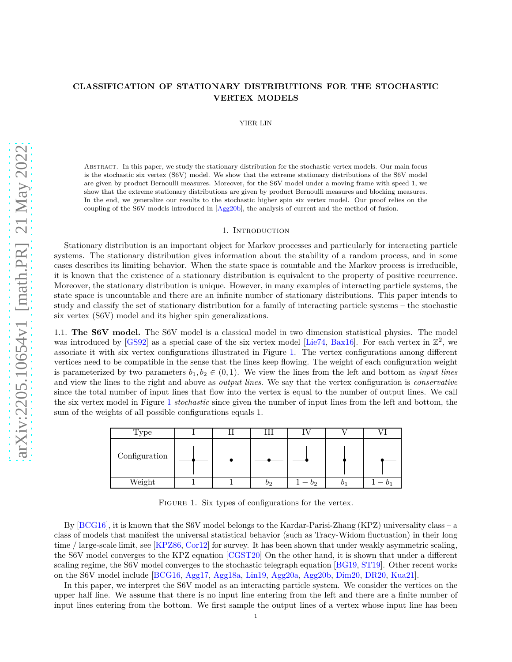# **CLASSIFICATION OF STATIONARY DISTRIBUTIONS FOR THE STOCHASTIC VERTEX MODELS**

YIER LIN

Abstract. In this paper, we study the stationary distribution for the stochastic vertex models. Our main focus is the stochastic six vertex (S6V) model. We show that the extreme stationary distributions of the S6V model are given by product Bernoulli measures. Moreover, for the S6V model under a moving frame with speed 1, we show that the extreme stationary distributions are given by product Bernoulli measures and blocking measures. In the end, we generalize our results to the stochastic higher spin six vertex model. Our proof relies on the coupling of the S6V models introduced in [\[Agg20b\]](#page-22-0), the analysis of current and the method of fusion.

#### 1. INTRODUCTION

Stationary distribution is an important object for Markov processes and particularly for interacting particle systems. The stationary distribution gives information about the stability of a random process, and in some cases describes its limiting behavior. When the state space is countable and the Markov process is irreducible, it is known that the existence of a stationary distribution is equivalent to the property of positive recurrence. Moreover, the stationary distribution is unique. However, in many examples of interacting particle systems, the state space is uncountable and there are an infinite number of stationary distributions. This paper intends to study and classify the set of stationary distribution for a family of interacting particle systems – the stochastic six vertex (S6V) model and its higher spin generalizations.

1.1. **The S6V model.** The S6V model is a classical model in two dimension statistical physics. The model was introduced by [\[GS92\]](#page-23-0) as a special case of the six vertex model [Lie<sup>74</sup>, [Bax16\]](#page-22-1). For each vertex in  $\mathbb{Z}^2$ , we associate it with six vertex configurations illustrated in Figure [1.](#page-0-0) The vertex configurations among different vertices need to be compatible in the sense that the lines keep flowing. The weight of each configuration weight is parameterized by two parameters  $b_1, b_2 \in (0, 1)$ . We view the lines from the left and bottom as *input lines* and view the lines to the right and above as *output lines*. We say that the vertex configuration is *conservative* since the total number of input lines that flow into the vertex is equal to the number of output lines. We call the six vertex model in Figure [1](#page-0-0) *stochastic* since given the number of input lines from the left and bottom, the sum of the weights of all possible configurations equals 1.

<span id="page-0-0"></span>

FIGURE 1. Six types of configurations for the vertex.

By [\[BCG16\]](#page-22-2), it is known that the S6V model belongs to the Kardar-Parisi-Zhang (KPZ) universality class – a class of models that manifest the universal statistical behavior (such as Tracy-Widom fluctuation) in their long time / large-scale limit, see [\[KPZ86,](#page-23-2) [Cor12\]](#page-22-3) for survey. It has been shown that under weakly asymmetric scaling, the S6V model converges to the KPZ equation [\[CGST20\]](#page-22-4) On the other hand, it is shown that under a different scaling regime, the S6V model converges to the stochastic telegraph equation [\[BG19,](#page-22-5) [ST19\]](#page-23-3). Other recent works on the S6V model include [\[BCG16,](#page-22-2) [Agg17,](#page-22-6) [Agg18a,](#page-22-7) [Lin19,](#page-23-4) [Agg20a,](#page-22-8) [Agg20b,](#page-22-0) [Dim20,](#page-22-9) [DR20,](#page-22-10) [Kua21\]](#page-23-5).

In this paper, we interpret the S6V model as an interacting particle system. We consider the vertices on the upper half line. We assume that there is no input line entering from the left and there are a finite number of input lines entering from the bottom. We first sample the output lines of a vertex whose input line has been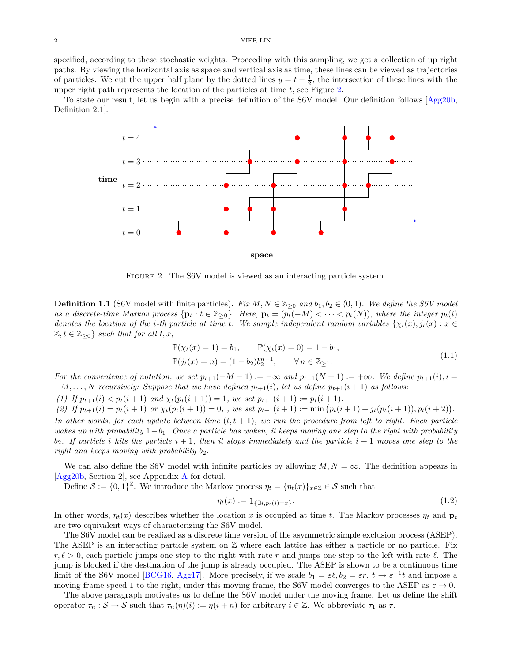specified, according to these stochastic weights. Proceeding with this sampling, we get a collection of up right paths. By viewing the horizontal axis as space and vertical axis as time, these lines can be viewed as trajectories of particles. We cut the upper half plane by the dotted lines  $y = t - \frac{1}{2}$ , the intersection of these lines with the upper right path represents the location of the particles at time *t*, see Figure [2.](#page-1-0)

<span id="page-1-0"></span>To state our result, let us begin with a precise definition of the S6V model. Our definition follows [\[Agg20b,](#page-22-0) Definition 2.1].



FIGURE 2. The S6V model is viewed as an interacting particle system.

<span id="page-1-2"></span>**Definition 1.1** (S6V model with finite particles). *Fix*  $M, N \in \mathbb{Z}_{\geq 0}$  and  $b_1, b_2 \in (0, 1)$ *. We define the S6V model* as a discrete-time Markov process  $\{p_t : t \in \mathbb{Z}_{\geq 0}\}\.$  Here,  $p_t = (p_t(-M) < \cdots < p_t(N))$ , where the integer  $p_t(i)$ *denotes the location of the <i>i*-th particle at time *t*. We sample independent random variables  $\{\chi_t(x), j_t(x): x \in$  $\mathbb{Z}, t \in \mathbb{Z}_{\geq 0}$  *such that for all t, x,* 

$$
\mathbb{P}(\chi_t(x) = 1) = b_1, \qquad \mathbb{P}(\chi_t(x) = 0) = 1 - b_1, \n\mathbb{P}(j_t(x) = n) = (1 - b_2)b_2^{n-1}, \qquad \forall n \in \mathbb{Z}_{\ge 1}.
$$
\n(1.1)

<span id="page-1-3"></span>*For the convenience of notation, we set*  $p_{t+1}(-M-1) := -\infty$  and  $p_{t+1}(N+1) := +\infty$ *. We define*  $p_{t+1}(i)$ *, i* =  $-M, \ldots, N$  *recursively: Suppose that we have defined*  $p_{t+1}(i)$ *, let us define*  $p_{t+1}(i+1)$  *as follows:* 

(1) If  $p_{t+1}(i) < p_t(i+1)$  and  $\chi_t(p_t(i+1)) = 1$ , we set  $p_{t+1}(i+1) := p_t(i+1)$ .

(2) If  $p_{t+1}(i) = p_t(i+1)$  or  $\chi_t(p_t(i+1)) = 0$ , we set  $p_{t+1}(i+1) := \min (p_t(i+1) + j_t(p_t(i+1)), p_t(i+2)).$ 

*In other words, for each update between time* (*t, t* + 1)*, we run the procedure from left to right. Each particle wakes up with probability* 1−*b*1*. Once a particle has woken, it keeps moving one step to the right with probability*  $b_2$ . If particle *i* hits the particle  $i + 1$ , then it stops immediately and the particle  $i + 1$  moves one step to the *right and keeps moving with probability b*2*.*

We can also define the S6V model with infinite particles by allowing  $M, N = \infty$ . The definition appears in [\[Agg20b,](#page-22-0) Section 2], see Appendix [A](#page-21-0) for detail.

Define  $S := \{0, 1\}^{\mathbb{Z}}$ . We introduce the Markov process  $\eta_t = \{\eta_t(x)\}_{x \in \mathbb{Z}} \in S$  such that

<span id="page-1-1"></span>
$$
\eta_t(x) := \mathbb{1}_{\{\exists i, p_t(i) = x\}}.\tag{1.2}
$$

In other words,  $\eta_t(x)$  describes whether the location x is occupied at time t. The Markov processes  $\eta_t$  and  $\mathbf{p}_t$ are two equivalent ways of characterizing the S6V model.

The S6V model can be realized as a discrete time version of the asymmetric simple exclusion process (ASEP). The ASEP is an interacting particle system on  $\mathbb Z$  where each lattice has either a particle or no particle. Fix *r, ℓ >* 0, each particle jumps one step to the right with rate *r* and jumps one step to the left with rate *ℓ*. The jump is blocked if the destination of the jump is already occupied. The ASEP is shown to be a continuous time limit of the S6V model [\[BCG16,](#page-22-2) [Agg17\]](#page-22-6). More precisely, if we scale  $b_1 = \varepsilon \ell, b_2 = \varepsilon r, t \to \varepsilon^{-1} t$  and impose a moving frame speed 1 to the right, under this moving frame, the S6V model converges to the ASEP as  $\varepsilon \to 0$ .

The above paragraph motivates us to define the S6V model under the moving frame. Let us define the shift operator  $\tau_n : \mathcal{S} \to \mathcal{S}$  such that  $\tau_n(\eta)(i) := \eta(i+n)$  for arbitrary  $i \in \mathbb{Z}$ . We abbreviate  $\tau_1$  as  $\tau$ .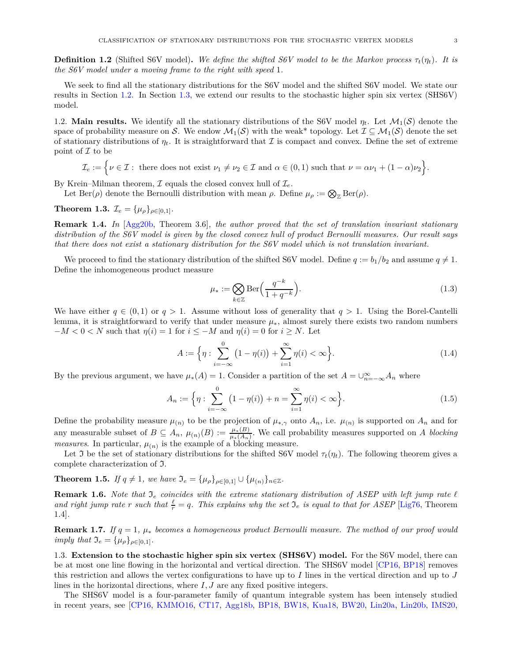**Definition 1.2** (Shifted S6V model). We define the shifted S6V model to be the Markov process  $\tau_t(\eta_t)$ . It is *the S6V model under a moving frame to the right with speed* 1*.*

We seek to find all the stationary distributions for the S6V model and the shifted S6V model. We state our results in Section [1.2.](#page-2-0) In Section [1.3,](#page-2-1) we extend our results to the stochastic higher spin six vertex (SHS6V) model.

<span id="page-2-0"></span>1.2. **Main results.** We identify all the stationary distributions of the S6V model  $\eta_t$ . Let  $\mathcal{M}_1(\mathcal{S})$  denote the space of probability measure on S. We endow  $\mathcal{M}_1(\mathcal{S})$  with the weak\* topology. Let  $\mathcal{I} \subseteq \mathcal{M}_1(\mathcal{S})$  denote the set of stationary distributions of  $\eta_t$ . It is straightforward that I is compact and convex. Define the set of extreme point of  $\mathcal I$  to be

$$
\mathcal{I}_e:=\Big\{\nu\in\mathcal{I}:\text{ there does not exist }\nu_1\neq\nu_2\in\mathcal{I}\text{ and }\alpha\in(0,1)\text{ such that }\nu=\alpha\nu_1+(1-\alpha)\nu_2\Big\}.
$$

By Krein–Milman theorem,  $\mathcal I$  equals the closed convex hull of  $\mathcal I_e$ .

Let Ber( $\rho$ ) denote the Bernoulli distribution with mean  $\rho$ . Define  $\mu_{\rho} := \bigotimes_{\mathbb{Z}} \text{Ber}(\rho)$ .

# <span id="page-2-3"></span>**Theorem 1.3.**  $\mathcal{I}_e = {\mu_\rho}_{\rho \in [0,1]}$ .

**Remark 1.4.** *In* [\[Agg20b,](#page-22-0) Theorem 3.6]*, the author proved that the set of translation invariant stationary distribution of the S6V model is given by the closed convex hull of product Bernoulli measures. Our result says that there does not exist a stationary distribution for the S6V model which is not translation invariant.*

We proceed to find the stationary distribution of the shifted S6V model. Define  $q := b_1/b_2$  and assume  $q \neq 1$ . Define the inhomogeneous product measure

<span id="page-2-4"></span>
$$
\mu_* := \bigotimes_{k \in \mathbb{Z}} \text{Ber}\left(\frac{q^{-k}}{1 + q^{-k}}\right). \tag{1.3}
$$

We have either  $q \in (0,1)$  or  $q > 1$ . Assume without loss of generality that  $q > 1$ . Using the Borel-Cantelli lemma, it is straightforward to verify that under measure *µ*∗, almost surely there exists two random numbers  $-M < 0 < N$  such that  $\eta(i) = 1$  for  $i \leq -M$  and  $\eta(i) = 0$  for  $i \geq N$ . Let

<span id="page-2-5"></span>
$$
A := \left\{ \eta : \sum_{i = -\infty}^{0} (1 - \eta(i)) + \sum_{i = 1}^{\infty} \eta(i) < \infty \right\}.
$$
\n(1.4)

By the previous argument, we have  $\mu_*(A) = 1$ . Consider a partition of the set  $A = \bigcup_{n=-\infty}^{\infty} A_n$  where

<span id="page-2-6"></span>
$$
A_n := \left\{ \eta : \sum_{i=-\infty}^{0} \left( 1 - \eta(i) \right) + n = \sum_{i=1}^{\infty} \eta(i) < \infty \right\}.
$$
\n(1.5)

Define the probability measure  $\mu_{(n)}$  to be the projection of  $\mu_{*,\gamma}$  onto  $A_n$ , i.e.  $\mu_{(n)}$  is supported on  $A_n$  and for any measurable subset of  $B \subseteq A_n$ ,  $\mu_{(n)}(B) := \frac{\mu_*(B)}{\mu_*(A_n)}$ . We call probability measures supported on *A blocking measures*. In particular,  $\mu_{(n)}$  is the example of a blocking measure.

Let J be the set of stationary distributions for the shifted S6V model  $\tau_t(\eta_t)$ . The following theorem gives a complete characterization of I.

<span id="page-2-2"></span>**Theorem 1.5.** *If*  $q \neq 1$ *, we have*  $\mathfrak{I}_e = {\mu_o}_{o \in [0,1]} \cup {\mu_{(n)}}_{n \in \mathbb{Z}}$ *.* 

**Remark 1.6.** *Note that* I*<sup>e</sup> coincides with the extreme stationary distribution of ASEP with left jump rate ℓ and right jump rate r such that*  $\frac{\ell}{r} = q$ *. This explains why the set*  $\mathfrak{I}_e$  *is equal to that for ASEP* [\[Lig76,](#page-23-6) Theorem 1.4]*.*

**Remark 1.7.** *If*  $q = 1$ ,  $\mu_*$  *becomes a homogeneous product Bernoulli measure. The method of our proof would imply that*  $\mathfrak{I}_e = {\mu_\rho}_{\rho \in [0,1]}$ *.* 

<span id="page-2-1"></span>1.3. **Extension to the stochastic higher spin six vertex (SHS6V) model.** For the S6V model, there can be at most one line flowing in the horizontal and vertical direction. The SHS6V model [\[CP16,](#page-22-11) [BP18\]](#page-22-12) removes this restriction and allows the vertex configurations to have up to *I* lines in the vertical direction and up to *J* lines in the horizontal directions, where *I, J* are any fixed positive integers.

The SHS6V model is a four-parameter family of quantum integrable system has been intensely studied in recent years, see [\[CP16,](#page-22-11) [KMMO16,](#page-23-7) [CT17,](#page-22-13) [Agg18b,](#page-22-14) [BP18,](#page-22-12) [BW18,](#page-22-15) [Kua18,](#page-23-8) [BW20,](#page-22-16) [Lin20a,](#page-23-9) [Lin20b,](#page-23-10) [IMS20,](#page-23-11)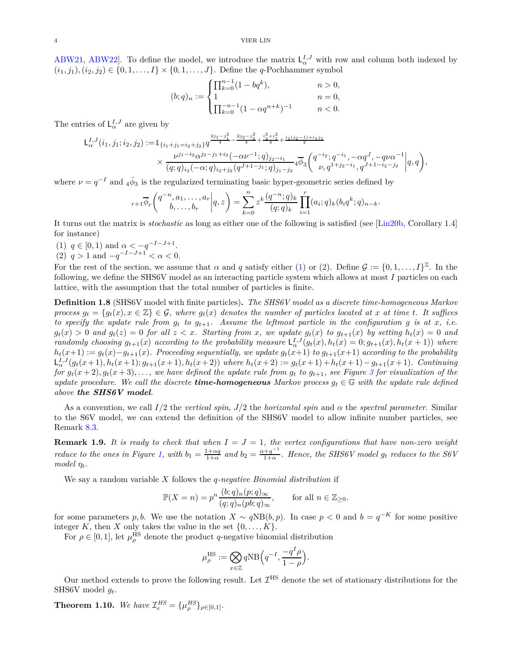[ABW21,](#page-22-17) [ABW22\]](#page-22-18). To define the model, we introduce the matrix  $L_{\alpha}^{I,J}$  with row and column both indexed by  $(i_1, j_1), (i_2, j_2) \in \{0, 1, \ldots, I\} \times \{0, 1, \ldots, J\}$ . Define the *q*-Pochhammer symbol

$$
(b;q)_n := \begin{cases} \prod_{k=0}^{n-1} (1-bq^k), & n > 0, \\ 1 & n = 0, \\ \prod_{k=0}^{-n-1} (1-\alpha q^{n+k})^{-1} & n < 0. \end{cases}
$$

The entries of  $L^{I,J}_{\alpha}$  are given by

$$
\begin{split} \mathsf{L}^{I,J}_{\alpha}(i_1,j_1;i_2,j_2) :=& \mathbbm{1}_{\{i_1+j_1=i_2+j_2\}} q^{\frac{2j_1-j_1^2}{4} - \frac{2j_2-j_2^2}{4} + \frac{i_2^2+i_1^2}{4} + \frac{i_2(j_2-1)+i_1j_1}{2}} \\ &\times \frac{\nu^{j_1-i_2} \alpha^{j_2-j_1+i_2}(-\alpha \nu^{-1};q)_{j_2-i_1}}{(q;q)_{i_2}(-\alpha;q)_{i_2+j_2} (q^{J+1-j_1};q)_{j_1-j_2}} 4 \overline{\phi}_3\bigg( \begin{matrix} q^{-i_2};q^{-i_1},-\alpha q^J,-q \nu \alpha^{-1} \\ \nu,q^{1+j_2-i_1},q^{J+1-i_2-j_2} \end{matrix} \bigg| q,q \bigg), \end{split}
$$

where  $\nu = q^{-I}$  and  $4\bar{\phi}_3$  is the regularized terminating basic hyper-geometric series defined by

$$
{}_{r+1}\overline{\phi}_r\bigg(\begin{matrix}q^{-n},a_1,\ldots,a_r\\b,\ldots,b_r\end{matrix}\bigg|q,z\bigg)=\sum_{k=0}^nz^k\frac{(q^{-n};q)_k}{(q;q)_k}\prod_{i=1}^r(a_i;q)_k(b_iq^k;q)_{n-k}.
$$

It turns out the matrix is *stochastic* as long as either one of the following is satisfied (see [\[Lin20b,](#page-23-10) Corollary 1.4] for instance)

<span id="page-3-1"></span><span id="page-3-0"></span>(1)  $q \in [0, 1)$  and  $\alpha < -q^{-1-J+1}$ . (2)  $q > 1$  and  $-q^{-I-J+1} < \alpha < 0$ .

For the rest of the section, we assume that  $\alpha$  and  $q$  satisfy either [\(1\)](#page-3-0) or [\(2\)](#page-3-1). Define  $\mathcal{G} := \{0, 1, \ldots, I\}^{\mathbb{Z}}$ . In the following, we define the SHS6V model as an interacting particle system which allows at most *I* particles on each lattice, with the assumption that the total number of particles is finite.

<span id="page-3-2"></span>**Definition 1.8** (SHS6V model with finite particles)**.** *The SHS6V model as a discrete time-homogeneous Markov process*  $g_t = \{g_t(x), x \in \mathbb{Z}\} \in \mathcal{G}$ , where  $g_t(x)$  denotes the number of particles located at x at time t. It suffices *to specify the update rule from*  $g_t$  *to*  $g_{t+1}$ *. Assume the leftmost particle in the configuration*  $g$  *is at*  $x$ *, i.e.*  $g_t(x) > 0$  and  $g_t(z) = 0$  for all  $z < x$ . Starting from x, we update  $g_t(x)$  to  $g_{t+1}(x)$  by setting  $h_t(x) = 0$  and randomly choosing  $g_{t+1}(x)$  according to the probability measure  $L^{I,J}_{\alpha}(g_t(x), h_t(x) = 0; g_{t+1}(x), h_t(x+1))$  where  $h_t(x+1) := g_t(x) - g_{t+1}(x)$ . Proceeding sequentially, we update  $g_t(x+1)$  to  $g_{t+1}(x+1)$  according to the probability  $L^{I,J}_{\alpha}(g_t(x+1), h_t(x+1); g_{t+1}(x+1), h_t(x+2))$  where  $h_t(x+2) := g_t(x+1) + h_t(x+1) - g_{t+1}(x+1)$ . Continuing for  $g_t(x+2), g_t(x+3), \ldots$  $g_t(x+2), g_t(x+3), \ldots$  $g_t(x+2), g_t(x+3), \ldots$ , we have defined the update rule from  $g_t$  to  $g_{t+1}$ , see Figure 3 for visualization of the *update procedure. We call the discrete <i>time-homogeneous* Markov process  $g_t \in \mathbb{G}$  with the update rule defined *above the SHS6V model.*

As a convention, we call  $I/2$  the *vertical spin*,  $J/2$  the *horizontal spin* and  $\alpha$  the *spectral parameter*. Similar to the S6V model, we can extend the definition of the SHS6V model to allow infinite number particles, see Remark [8.3.](#page-19-0)

**Remark 1.9.** It is ready to check that when  $I = J = 1$ , the vertex configurations that have non-zero weight *reduce to the ones in Figure* [1,](#page-0-0) with  $b_1 = \frac{1+\alpha q}{1+\alpha}$  and  $b_2 = \frac{\alpha+q^{-1}}{1+\alpha}$ 1+*α . Hence, the SHS6V model g<sup>t</sup> reduces to the S6V model ηt.*

We say a random variable *X* follows the *q-negative Binomial distribution* if

$$
\mathbb{P}(X=n) = p^n \frac{(b;q)_n(p;q)_\infty}{(q;q)_n(pb;q)_\infty}, \quad \text{for all } n \in \mathbb{Z}_{\geq 0}.
$$

for some parameters *p, b.* We use the notation  $X \sim qNB(b, p)$ . In case  $p < 0$  and  $b = q^{-K}$  for some positive integer *K*, then *X* only takes the value in the set  $\{0, \ldots, K\}$ .

For  $\rho \in [0, 1]$ , let  $\mu_{\rho}^{\text{HS}}$  denote the product *q*-negative binomial distribution

$$
\mu_{\rho}^{\text{HS}} := \bigotimes_{x \in \mathbb{Z}} q\text{NB}\left(q^{-I}, \frac{-q^I \rho}{1-\rho}\right)
$$

*.*

Our method extends to prove the following result. Let  $\mathcal{I}^{\text{HS}}$  denote the set of stationary distributions for the SHS6V model *gt*.

<span id="page-3-3"></span>**Theorem 1.10.** *We have*  $\mathcal{I}_{e}^{HS} = {\mu_{\rho}^{HS}}_{\rho \in [0,1]}$ *.*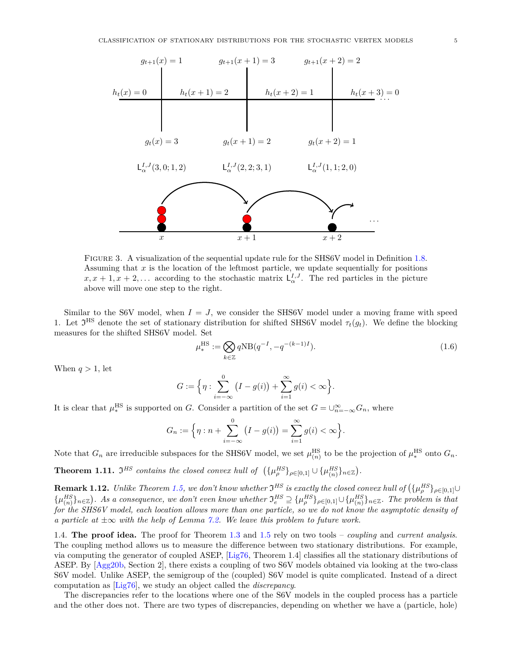<span id="page-4-0"></span>

FIGURE 3. A visualization of the sequential update rule for the SHS6V model in Definition [1.8.](#page-3-2) Assuming that *x* is the location of the leftmost particle, we update sequentially for positions  $x, x + 1, x + 2, \ldots$  according to the stochastic matrix  $\mathsf{L}_{\alpha}^{I,J}$ . The red particles in the picture above will move one step to the right.

Similar to the S6V model, when  $I = J$ , we consider the SHS6V model under a moving frame with speed 1. Let  $\mathfrak{I}^{\text{HS}}$  denote the set of stationary distribution for shifted SHS6V model  $\tau_t(g_t)$ . We define the blocking measures for the shifted SHS6V model. Set

<span id="page-4-2"></span>
$$
\mu_{*}^{\text{HS}} := \bigotimes_{k \in \mathbb{Z}} q \text{NB}(q^{-I}, -q^{-(k-1)I}).
$$
\n(1.6)

When  $q > 1$ , let

$$
G := \Big\{ \eta : \sum_{i=-\infty}^{0} (I - g(i)) + \sum_{i=1}^{\infty} g(i) < \infty \Big\}.
$$

It is clear that  $\mu_*^{\text{HS}}$ <sup>HS</sup> is supported on *G*. Consider a partition of the set  $G = \bigcup_{n=-\infty}^{\infty} G_n$ , where

$$
G_n := \left\{ \eta : n + \sum_{i=-\infty}^{0} (I - g(i)) = \sum_{i=1}^{\infty} g(i) < \infty \right\}.
$$

Note that  $G_n$  are irreducible subspaces for the SHS6V model, we set  $\mu_{(n)}^{\text{HS}}$  to be the projection of  $\mu_*^{\text{HS}}$  $*^{\text{HS}}$  onto  $G_n$ .

<span id="page-4-1"></span>**Theorem 1.11.**  $\mathfrak{I}^{HS}$  *contains the closed convex hull of*  $(\{\mu_{\rho}^{HS}\}_{\rho \in [0,1]} \cup \{\mu_{(n)}^{HS}\})$  $_{(n)}^{HS}$ } $_{n\in\mathbb{Z}}$  $).$ 

**Remark 1.12.** *Unlike Theorem [1.5,](#page-2-2)* we don't know whether  $\mathfrak{I}^{HS}$  is exactly the closed convex hull of  $(\{\mu_p^{HS}\}_{\rho \in [0,1]} \cup$  $\{\mu_{(n)}^{HS}\}$  $\{H_{n,m}^{HS}\}_{n\in\mathbb{Z}}$ ). As a consequence, we don't even know whether  $\mathfrak{I}_{e}^{HS}\supseteq{\{\mu_{\rho}^{HS}\}_{\rho\in[0,1]}}\cup{\{\mu_{(n)}^{HS}\}}$  ${HS \atop (n)}_{n \in \mathbb{Z}}$ . The problem is that *for the SHS6V model, each location allows more than one particle, so we do not know the asymptotic density of a particle at* ±∞ *with the help of Lemma [7.2.](#page-16-0) We leave this problem to future work.*

1.4. **The proof idea.** The proof for Theorem [1.3](#page-2-3) and [1.5](#page-2-2) rely on two tools – *coupling* and *current analysis*. The coupling method allows us to measure the difference between two stationary distributions. For example, via computing the generator of coupled ASEP, [\[Lig76,](#page-23-6) Theorem 1.4] classifies all the stationary distributions of ASEP. By [\[Agg20b,](#page-22-0) Section 2], there exists a coupling of two S6V models obtained via looking at the two-class S6V model. Unlike ASEP, the semigroup of the (coupled) S6V model is quite complicated. Instead of a direct computation as [\[Lig76\]](#page-23-6), we study an object called the *discrepancy*.

The discrepancies refer to the locations where one of the S6V models in the coupled process has a particle and the other does not. There are two types of discrepancies, depending on whether we have a (particle, hole)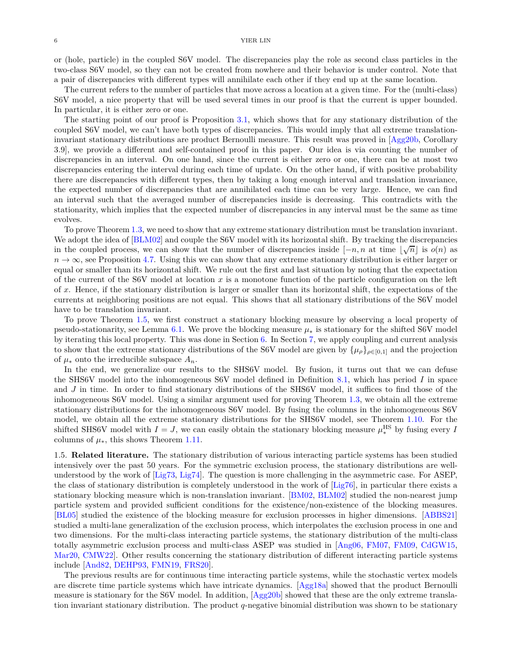or (hole, particle) in the coupled S6V model. The discrepancies play the role as second class particles in the two-class S6V model, so they can not be created from nowhere and their behavior is under control. Note that a pair of discrepancies with different types will annihilate each other if they end up at the same location.

The current refers to the number of particles that move across a location at a given time. For the (multi-class) S6V model, a nice property that will be used several times in our proof is that the current is upper bounded. In particular, it is either zero or one.

The starting point of our proof is Proposition [3.1,](#page-8-0) which shows that for any stationary distribution of the coupled S6V model, we can't have both types of discrepancies. This would imply that all extreme translationinvariant stationary distributions are product Bernoulli measure. This result was proved in [\[Agg20b,](#page-22-0) Corollary 3.9], we provide a different and self-contained proof in this paper. Our idea is via counting the number of discrepancies in an interval. On one hand, since the current is either zero or one, there can be at most two discrepancies entering the interval during each time of update. On the other hand, if with positive probability there are discrepancies with different types, then by taking a long enough interval and translation invariance, the expected number of discrepancies that are annihilated each time can be very large. Hence, we can find an interval such that the averaged number of discrepancies inside is decreasing. This contradicts with the stationarity, which implies that the expected number of discrepancies in any interval must be the same as time evolves.

To prove Theorem [1.3,](#page-2-3) we need to show that any extreme stationary distribution must be translation invariant. We adopt the idea of [\[BLM02\]](#page-22-19) and couple the S6V model with its horizontal shift. By tracking the discrepancies in the coupled process, we can show that the number of discrepancies inside  $[-n, n$  at time  $\lfloor \sqrt{n} \rfloor$  is  $o(n)$  as  $n \to \infty$ , see Proposition [4.7.](#page-11-0) Using this we can show that any extreme stationary distribution is either larger or equal or smaller than its horizontal shift. We rule out the first and last situation by noting that the expectation of the current of the S6V model at location *x* is a monotone function of the particle configuration on the left of *x*. Hence, if the stationary distribution is larger or smaller than its horizontal shift, the expectations of the currents at neighboring positions are not equal. This shows that all stationary distributions of the S6V model have to be translation invariant.

To prove Theorem [1.5,](#page-2-2) we first construct a stationary blocking measure by observing a local property of pseudo-stationarity, see Lemma [6.1.](#page-14-0) We prove the blocking measure  $\mu_*$  is stationary for the shifted S6V model by iterating this local property. This was done in Section [6.](#page-14-1) In Section [7,](#page-15-0) we apply coupling and current analysis to show that the extreme stationary distributions of the S6V model are given by  $\{\mu_{\rho}\}_{\rho \in [0,1]}$  and the projection of  $\mu_*$  onto the irreducible subspace  $A_n$ .

In the end, we generalize our results to the SHS6V model. By fusion, it turns out that we can defuse the SHS6V model into the inhomogeneous S6V model defined in Definition [8.1,](#page-18-0) which has period *I* in space and *J* in time. In order to find stationary distributions of the SHS6V model, it suffices to find those of the inhomogeneous S6V model. Using a similar argument used for proving Theorem [1.3,](#page-2-3) we obtain all the extreme stationary distributions for the inhomogeneous S6V model. By fusing the columns in the inhomogeneous S6V model, we obtain all the extreme stationary distributions for the SHS6V model, see Theorem [1.10.](#page-3-3) For the shifted SHS6V model with  $I = J$ , we can easily obtain the stationary blocking measure  $\mu_*^{\text{HS}}$  by fusing every *I* columns of  $\mu_*$ , this shows Theorem [1.11.](#page-4-1)

1.5. **Related literature.** The stationary distribution of various interacting particle systems has been studied intensively over the past 50 years. For the symmetric exclusion process, the stationary distributions are wellunderstood by the work of [\[Lig73,](#page-23-12) [Lig74\]](#page-23-13). The question is more challenging in the asymmetric case. For ASEP, the class of stationary distribution is completely understood in the work of [\[Lig76\]](#page-23-6), in particular there exists a stationary blocking measure which is non-translation invariant. [\[BM02,](#page-22-20) [BLM02\]](#page-22-19) studied the non-nearest jump particle system and provided sufficient conditions for the existence/non-existence of the blocking measures. [\[BL05\]](#page-22-21) studied the existence of the blocking measure for exclusion processes in higher dimensions. [\[ABBS21\]](#page-22-22) studied a multi-lane generalization of the exclusion process, which interpolates the exclusion process in one and two dimensions. For the multi-class interacting particle systems, the stationary distribution of the multi-class totally asymmetric exclusion process and multi-class ASEP was studied in [\[Ang06,](#page-22-23) [FM07,](#page-22-24) [FM09,](#page-22-25) [CdGW15,](#page-22-26) [Mar20,](#page-23-14) [CMW22\]](#page-22-27). Other results concerning the stationary distribution of different interacting particle systems include [\[And82,](#page-22-28) [DEHP93,](#page-22-29) [FMN19,](#page-22-30) [FRS20\]](#page-23-15).

The previous results are for continuous time interacting particle systems, while the stochastic vertex models are discrete time particle systems which have intricate dynamics. [\[Agg18a\]](#page-22-7) showed that the product Bernoulli measure is stationary for the S6V model. In addition, [\[Agg20b\]](#page-22-0) showed that these are the only extreme translation invariant stationary distribution. The product *q*-negative binomial distribution was shown to be stationary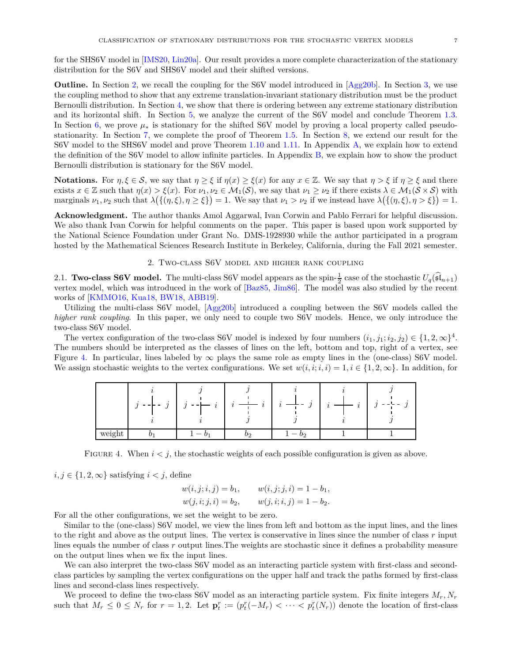for the SHS6V model in [\[IMS20,](#page-23-11) [Lin20a\]](#page-23-9). Our result provides a more complete characterization of the stationary distribution for the S6V and SHS6V model and their shifted versions.

**Outline.** In Section [2,](#page-6-0) we recall the coupling for the S6V model introduced in  $[\text{Agg20b}]$ . In Section [3,](#page-8-1) we use the coupling method to show that any extreme translation-invariant stationary distribution must be the product Bernoulli distribution. In Section [4,](#page-10-0) we show that there is ordering between any extreme stationary distribution and its horizontal shift. In Section [5,](#page-13-0) we analyze the current of the S6V model and conclude Theorem [1.3.](#page-2-3) In Section [6,](#page-14-1) we prove *µ*<sup>∗</sup> is stationary for the shifted S6V model by proving a local property called pseudostationarity. In Section [7,](#page-15-0) we complete the proof of Theorem [1.5.](#page-2-2) In Section [8,](#page-17-0) we extend our result for the S6V model to the SHS6V model and prove Theorem [1.10](#page-3-3) and [1.11.](#page-4-1) In Appendix [A,](#page-21-0) we explain how to extend the definition of the S6V model to allow infinite particles. In Appendix [B,](#page-21-1) we explain how to show the product Bernoulli distribution is stationary for the S6V model.

**Notations.** For  $\eta, \xi \in \mathcal{S}$ , we say that  $\eta \geq \xi$  if  $\eta(x) \geq \xi(x)$  for any  $x \in \mathbb{Z}$ . We say that  $\eta > \xi$  if  $\eta \geq \xi$  and there exists  $x \in \mathbb{Z}$  such that  $\eta(x) > \xi(x)$ . For  $\nu_1, \nu_2 \in \mathcal{M}_1(\mathcal{S})$ , we say that  $\nu_1 \geq \nu_2$  if there exists  $\lambda \in \mathcal{M}_1(\mathcal{S} \times \mathcal{S})$  with marginals  $\nu_1, \nu_2$  such that  $\lambda(\{(n, \xi), \eta \geq \xi\}) = 1$ . We say that  $\nu_1 > \nu_2$  if we instead have  $\lambda(\{(\eta, \xi), \eta > \xi\}) = 1$ .

**Acknowledgment.** The author thanks Amol Aggarwal, Ivan Corwin and Pablo Ferrari for helpful discussion. We also thank Ivan Corwin for helpful comments on the paper. This paper is based upon work supported by the National Science Foundation under Grant No. DMS-1928930 while the author participated in a program hosted by the Mathematical Sciences Research Institute in Berkeley, California, during the Fall 2021 semester.

# 2. Two-class S6V model and higher rank coupling

<span id="page-6-0"></span>2.1. **Two-class S6V model.** The multi-class S6V model appears as the spin- $\frac{1}{2}$  case of the stochastic  $U_q(\widehat{\mathfrak{sl}}_{n+1})$ vertex model, which was introduced in the work of [\[Baz85,](#page-22-31) [Jim86\]](#page-23-16). The model was also studied by the recent works of [\[KMMO16,](#page-23-7) [Kua18,](#page-23-8) [BW18,](#page-22-15) [ABB19\]](#page-22-32).

Utilizing the multi-class S6V model, [\[Agg20b\]](#page-22-0) introduced a coupling between the S6V models called the *higher rank coupling*. In this paper, we only need to couple two S6V models. Hence, we only introduce the two-class S6V model.

<span id="page-6-1"></span>The vertex configuration of the two-class S6V model is indexed by four numbers  $(i_1, j_1; i_2, j_2) \in \{1, 2, \infty\}^4$ . The numbers should be interpreted as the classes of lines on the left, bottom and top, right of a vertex, see Figure [4.](#page-6-1) In particular, lines labeled by  $\infty$  plays the same role as empty lines in the (one-class) S6V model. We assign stochastic weights to the vertex configurations. We set  $w(i, i; i, i) = 1, i \in \{1, 2, \infty\}$ . In addition, for

|        | ٠ | v | ٠<br>$\Omega$<br>$\cdot$ |  |
|--------|---|---|--------------------------|--|
| weight | — |   | IJη                      |  |

FIGURE 4. When  $i < j$ , the stochastic weights of each possible configuration is given as above.

 $i, j \in \{1, 2, \infty\}$  satisfying  $i < j$ , define

$$
w(i, j; i, j) = b_1, \qquad w(i, j; j, i) = 1 - b_1, \n w(j, i; j, i) = b_2, \qquad w(j, i; i, j) = 1 - b_2.
$$

For all the other configurations, we set the weight to be zero.

Similar to the (one-class) S6V model, we view the lines from left and bottom as the input lines, and the lines to the right and above as the output lines. The vertex is conservative in lines since the number of class *r* input lines equals the number of class *r* output lines.The weights are stochastic since it defines a probability measure on the output lines when we fix the input lines.

We can also interpret the two-class S6V model as an interacting particle system with first-class and secondclass particles by sampling the vertex configurations on the upper half and track the paths formed by first-class lines and second-class lines respectively.

We proceed to define the two-class S6V model as an interacting particle system. Fix finite integers *Mr, N<sup>r</sup>* such that  $M_r \leq 0 \leq N_r$  for  $r = 1, 2$ . Let  $\mathbf{p}_t^r := (p_t^r(-M_r) < \cdots < p_t^r(N_r))$  denote the location of first-class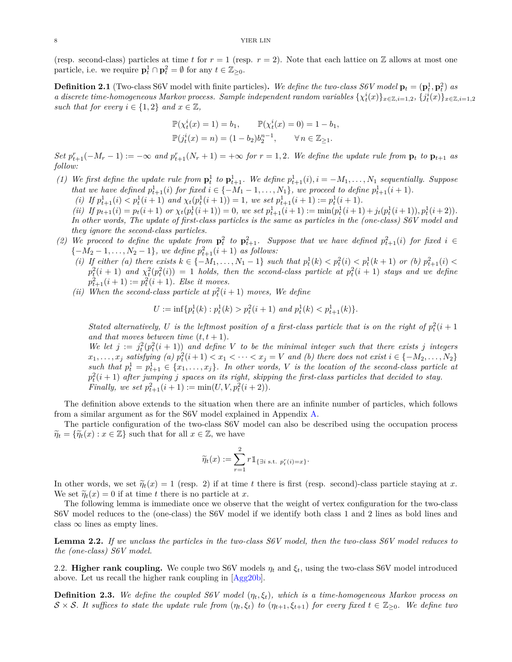(resp. second-class) particles at time t for  $r = 1$  (resp.  $r = 2$ ). Note that each lattice on Z allows at most one particle, i.e. we require  $\mathbf{p}_t^1 \cap \mathbf{p}_t^2 = \emptyset$  for any  $t \in \mathbb{Z}_{\geq 0}$ .

<span id="page-7-0"></span>**Definition 2.1** (Two-class S6V model with finite particles). We define the two-class S6V model  $\mathbf{p}_t = (\mathbf{p}_t^1, \mathbf{p}_t^2)$  as a discrete time-homogeneous Markov process. Sample independent random variables  $\{\chi_t^i(x)\}_{x\in\mathbb{Z},i=1,2},\{j_t^i(x)\}_{x\in\mathbb{Z},i=1,2}$ *such that for every*  $i \in \{1,2\}$  *and*  $x \in \mathbb{Z}$ *,* 

$$
\mathbb{P}(\chi_t^i(x) = 1) = b_1, \qquad \mathbb{P}(\chi_t^i(x) = 0) = 1 - b_1, \n\mathbb{P}(j_t^i(x) = n) = (1 - b_2)b_2^{n-1}, \qquad \forall n \in \mathbb{Z}_{\geq 1}.
$$

Set  $p_{t+1}^r(-M_r-1):=-\infty$  and  $p_{t+1}^r(N_r+1)=+\infty$  for  $r=1,2$ . We define the update rule from  $\mathbf{p}_t$  to  $\mathbf{p}_{t+1}$  as *follow:*

- (1) We first define the update rule from  $\mathbf{p}_t^1$  to  $\mathbf{p}_{t+1}^1$ . We define  $p_{t+1}^1(i)$ ,  $i = -M_1, \ldots, N_1$  sequentially. Suppose *that we have defined*  $p_{t+1}^1(i)$  *for fixed*  $i \in \{-M_1 - 1, ..., M_1\}$ *, we proceed to define*  $p_{t+1}^1(i+1)$ *.* 
	- (i) If  $p_{t+1}^1(i) < p_t^1(i+1)$  and  $\chi_t(p_t^1(i+1)) = 1$ , we set  $p_{t+1}^1(i+1) := p_t^1(i+1)$ .

(ii) If  $p_{t+1}(i) = p_t(i+1)$  or  $\chi_t(p_t^1(i+1)) = 0$ , we set  $p_{t+1}^1(i+1) := \min(p_t^1(i+1) + j_t(p_t^1(i+1)), p_t^1(i+2)).$ *In other words, The update of first-class particles is the same as particles in the (one-class) S6V model and they ignore the second-class particles.*

- (2) We proceed to define the update from  $\mathbf{p}_t^2$  to  $\mathbf{p}_{t+1}^2$ . Suppose that we have defined  $p_{t+1}^2(i)$  for fixed  $i \in$  ${-M_2 - 1, ..., N_2 - 1}$ *, we define*  $p_{t+1}^2(i+1)$  *as follows:* 
	- (i) If either (a) there exists  $k \in \{-M_1, \ldots, N_1-1\}$  such that  $p_t^1(k) < p_t^2(i) < p_t^1(k+1)$  or (b)  $p_{t+1}^2(i) <$  $p_t^2(i + 1)$  and  $\chi_t^2(p_t^2(i)) = 1$  *holds, then the second-class particle at*  $p_t^2(i + 1)$  *stays and we define*  $p_{t+1}^2(i+1) := p_t^2(i+1)$ *. Else it moves.*
	- (*ii*) When the second-class particle at  $p_t^2(i+1)$  moves, We define

$$
U := \inf \{ p_t^1(k) : p_t^1(k) > p_t^2(i+1) \text{ and } p_t^1(k) < p_{t+1}^1(k) \}.
$$

*Stated alternatively, U is the leftmost position of a first-class particle that is on the right of*  $p_t^2(i + 1)$ *and that moves between time*  $(t, t + 1)$ *.* 

We let  $j := j_t^2(p_t^2(i+1))$  and define V to be the minimal integer such that there exists *j* integers  $x_1, \ldots, x_j$  satisfying (a)  $p_t^2(i+1) < x_1 < \cdots < x_j = V$  and (b) there does not exist  $i \in \{-M_2, \ldots, N_2\}$  $such that p_t^1 = p_{t+1}^1 \in \{x_1, \ldots, x_j\}$ . In other words, *V* is the location of the second-class particle at  $p_t^2(i+1)$  *after jumping j spaces on its right, skipping the first-class particles that decided to stay. Finally, we set*  $p_{t+1}^2(i + 1) := \min(U, V, p_t^2(i + 2)).$ 

The definition above extends to the situation when there are an infinite number of particles, which follows from a similar argument as for the S6V model explained in Appendix [A.](#page-21-0)

The particle configuration of the two-class S6V model can also be described using the occupation process  $\widetilde{\eta}_t = \{\widetilde{\eta}_t(x) : x \in \mathbb{Z}\}\$  such that for all  $x \in \mathbb{Z}$ , we have

$$
\widetilde{\eta}_t(x) := \sum_{r=1}^2 r \mathbb{1}_{\{\exists i \text{ s.t. } p_t^r(i) = x\}}.
$$

In other words, we set  $\tilde{\eta}_t(x) = 1$  (resp. 2) if at time *t* there is first (resp. second)-class particle staying at *x*. We set  $\widetilde{\eta}_t(x) = 0$  if at time *t* there is no particle at *x*.

The following lemma is immediate once we observe that the weight of vertex configuration for the two-class S6V model reduces to the (one-class) the S6V model if we identify both class 1 and 2 lines as bold lines and class  $\infty$  lines as empty lines.

<span id="page-7-1"></span>**Lemma 2.2.** *If we unclass the particles in the two-class S6V model, then the two-class S6V model reduces to the (one-class) S6V model.*

2.2. **Higher rank coupling.** We couple two S6V models  $\eta_t$  and  $\xi_t$ , using the two-class S6V model introduced above. Let us recall the higher rank coupling in [\[Agg20b\]](#page-22-0).

<span id="page-7-2"></span>**Definition 2.3.** We define the coupled S6V model  $(\eta_t, \xi_t)$ , which is a time-homogeneous Markov process on  $S \times S$ *. It suffices to state the update rule from*  $(\eta_t, \xi_t)$  *to*  $(\eta_{t+1}, \xi_{t+1})$  *for every fixed*  $t \in \mathbb{Z}_{\geq 0}$ *. We define two*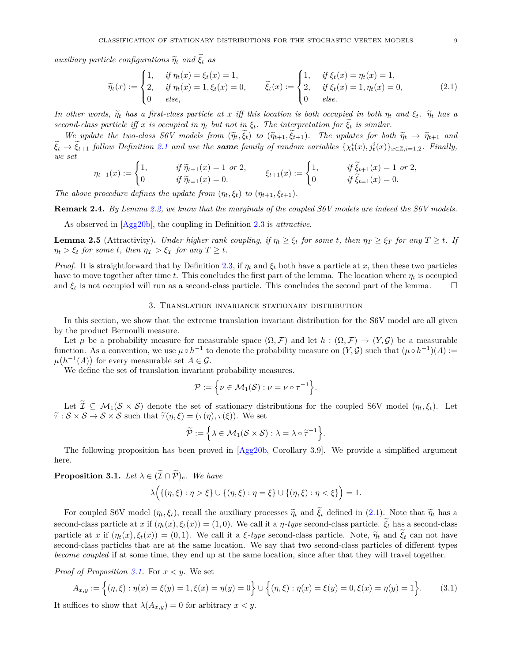*auxiliary particle configurations*  $\widetilde{\eta}_t$  *and*  $\widetilde{\xi}_t$  *as* 

<span id="page-8-2"></span>
$$
\widetilde{\eta}_t(x) := \begin{cases}\n1, & \text{if } \eta_t(x) = \xi_t(x) = 1, \\
2, & \text{if } \eta_t(x) = 1, \xi_t(x) = 0, \\
0 & \text{else,}\n\end{cases} \qquad \widetilde{\xi}_t(x) := \begin{cases}\n1, & \text{if } \xi_t(x) = \eta_t(x) = 1, \\
2, & \text{if } \xi_t(x) = 1, \eta_t(x) = 0, \\
0 & \text{else.}\n\end{cases} \qquad (2.1)
$$

*In other words,*  $\tilde{\eta}_t$  *has a first-class particle at x iff this location is both occupied in both*  $\eta_t$  *and*  $\xi_t$ *.*  $\tilde{\eta}_t$  *has a second-class particle iff x is occupied in*  $\eta_t$  *but not in*  $\xi_t$ . The interpretation for  $\xi_t$  is similar.

We update the two-class S6V models from  $(\widetilde{\eta}_t, \widetilde{\xi}_t)$  to  $(\widetilde{\eta}_{t+1}, \widetilde{\xi}_{t+1})$ . The updates for both  $\widetilde{\eta}_t \to \widetilde{\eta}_{t+1}$  and  $\xi_t \to \xi_{t+1}$  follow Definition [2.1](#page-7-0) and use the **same** family of random variables  $\{\chi_t^i(x), j_t^i(x)\}_{x \in \mathbb{Z}, i=1,2}$ . Finally, *we set*

$$
\eta_{t+1}(x) := \begin{cases} 1, & \text{if } \widetilde{\eta}_{t+1}(x) = 1 \text{ or } 2, \\ 0 & \text{if } \widetilde{\eta}_{t+1}(x) = 0. \end{cases} \qquad \xi_{t+1}(x) := \begin{cases} 1, & \text{if } \widetilde{\xi}_{t+1}(x) = 1 \text{ or } 2, \\ 0 & \text{if } \widetilde{\xi}_{t+1}(x) = 0. \end{cases}
$$

*The above procedure defines the update from*  $(\eta_t, \xi_t)$  *to*  $(\eta_{t+1}, \xi_{t+1})$ *.* 

**Remark 2.4.** *By Lemma [2.2,](#page-7-1) we know that the marginals of the coupled S6V models are indeed the S6V models.*

As observed in [\[Agg20b\]](#page-22-0), the coupling in Definition [2.3](#page-7-2) is *attractive*.

<span id="page-8-3"></span>**Lemma 2.5** (Attractivity). Under higher rank coupling, if  $\eta_t \geq \xi_t$  for some t, then  $\eta_T \geq \xi_T$  for any  $T \geq t$ . If  $\eta_t > \xi_t$  *for some t, then*  $\eta_T > \xi_T$  *for any*  $T \geq t$ *.* 

*Proof.* It is straightforward that by Definition [2.3,](#page-7-2) if  $\eta_t$  and  $\xi_t$  both have a particle at x, then these two particles have to move together after time *t*. This concludes the first part of the lemma. The location where *η<sup>t</sup>* is occupied and  $\xi_t$  is not occupied will run as a second-class particle. This concludes the second part of the lemma.  $\square$ 

# 3. Translation invariance stationary distribution

<span id="page-8-1"></span>In this section, we show that the extreme translation invariant distribution for the S6V model are all given by the product Bernoulli measure.

Let  $\mu$  be a probability measure for measurable space  $(\Omega, \mathcal{F})$  and let  $h : (\Omega, \mathcal{F}) \to (Y, \mathcal{G})$  be a measurable function. As a convention, we use  $\mu \circ h^{-1}$  to denote the probability measure on  $(Y, \mathcal{G})$  such that  $(\mu \circ h^{-1})(A) :=$  $\mu(h^{-1}(A))$  for every measurable set  $A \in \mathcal{G}$ .

We define the set of translation invariant probability measures.

$$
\mathcal{P} := \left\{ \nu \in \mathcal{M}_1(\mathcal{S}) : \nu = \nu \circ \tau^{-1} \right\}.
$$

Let  $\widetilde{\mathcal{I}} \subseteq \mathcal{M}_1(\mathcal{S} \times \mathcal{S})$  denote the set of stationary distributions for the coupled S6V model  $(\eta_t, \xi_t)$ . Let  $\tilde{\tau}: \mathcal{S} \times \mathcal{S} \to \mathcal{S} \times \mathcal{S}$  such that  $\tilde{\tau}(\eta, \xi) = (\tau(\eta), \tau(\xi))$ . We set

$$
\widetilde{\mathcal{P}} := \Big\{ \lambda \in \mathcal{M}_1(\mathcal{S} \times \mathcal{S}) : \lambda = \lambda \circ \widetilde{\tau}^{-1} \Big\}.
$$

The following proposition has been proved in [\[Agg20b,](#page-22-0) Corollary 3.9]. We provide a simplified argument here.

<span id="page-8-0"></span>**Proposition 3.1.** *Let*  $\lambda \in (\widetilde{\mathcal{I}} \cap \widetilde{\mathcal{P}})_e$ *. We have* 

$$
\lambda\Big(\{(\eta,\xi):\eta>\xi\}\cup\{(\eta,\xi):\eta=\xi\}\cup\{(\eta,\xi):\eta<\xi\}\Big)=1.
$$

For coupled S6V model  $(\eta_t, \xi_t)$ , recall the auxiliary processes  $\tilde{\eta}_t$  and  $\tilde{\xi}_t$  defined in [\(2.1\)](#page-8-2). Note that  $\tilde{\eta}_t$  has a second-class particle at *x* if  $(\eta_t(x), \xi_t(x)) = (1, 0)$ . We call it a *η-type* second-class particle.  $\xi_t$  has a second-class particle at *x* if  $(\eta_t(x), \xi_t(x)) = (0, 1)$ . We call it a *ξ-type* second-class particle. Note,  $\tilde{\eta}_t$  and  $\xi_t$  can not have second-class particles that are at the same location. We say that two second-class particles of different types *become coupled* if at some time, they end up at the same location, since after that they will travel together.

*Proof of Proposition [3.1.](#page-8-0)* For *x < y*. We set

<span id="page-8-4"></span>
$$
A_{x,y} := \left\{ (\eta, \xi) : \eta(x) = \xi(y) = 1, \xi(x) = \eta(y) = 0 \right\} \cup \left\{ (\eta, \xi) : \eta(x) = \xi(y) = 0, \xi(x) = \eta(y) = 1 \right\}.
$$
 (3.1)

It suffices to show that  $\lambda(A_{x,y}) = 0$  for arbitrary  $x < y$ .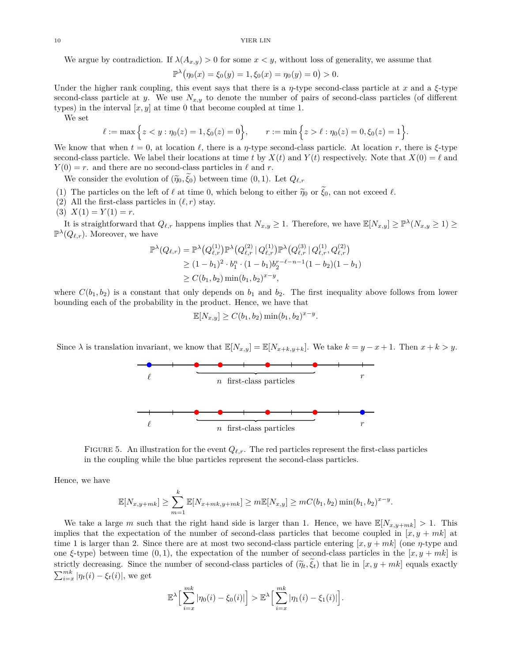We argue by contradiction. If  $\lambda(A_{x,y}) > 0$  for some  $x < y$ , without loss of generality, we assume that

$$
\mathbb{P}^{\lambda}(\eta_0(x) = \xi_0(y) = 1, \xi_0(x) = \eta_0(y) = 0) > 0.
$$

Under the higher rank coupling, this event says that there is a  $\eta$ -type second-class particle at  $x$  and a  $\xi$ -type second-class particle at *y*. We use  $N_{x,y}$  to denote the number of pairs of second-class particles (of different types) in the interval  $[x, y]$  at time 0 that become coupled at time 1.

We set

$$
\ell := \max\Big\{z < y : \eta_0(z) = 1, \xi_0(z) = 0\Big\}, \qquad r := \min\Big\{z > \ell : \eta_0(z) = 0, \xi_0(z) = 1\Big\}.
$$

We know that when  $t = 0$ , at location  $\ell$ , there is a *η*-type second-class particle. At location *r*, there is  $\xi$ -type second-class particle. We label their locations at time *t* by  $X(t)$  and  $Y(t)$  respectively. Note that  $X(0) = \ell$  and  $Y(0) = r$ . and there are no second-class particles in  $\ell$  and *r*.

We consider the evolution of  $(\tilde{\eta}_0, \tilde{\xi}_0)$  between time  $(0, 1)$ . Let  $Q_{\ell,r}$ 

- (1) The particles on the left of  $\ell$  at time 0, which belong to either  $\tilde{\eta}_0$  or  $\xi_0$ , can not exceed  $\ell$ .
- (2) All the first-class particles in  $(\ell, r)$  stay.
- (3)  $X(1) = Y(1) = r$ .

It is straightforward that  $Q_{\ell,r}$  happens implies that  $N_{x,y} \ge 1$ . Therefore, we have  $\mathbb{E}[N_{x,y}] \ge \mathbb{P}^{\lambda}(N_{x,y} \ge 1) \ge$  $\mathbb{P}^{\lambda}(Q_{\ell,r})$ . Moreover, we have

$$
\mathbb{P}^{\lambda}(Q_{\ell,r}) = \mathbb{P}^{\lambda}(Q_{\ell,r}^{(1)}) \mathbb{P}^{\lambda}(Q_{\ell,r}^{(2)} | Q_{\ell,r}^{(1)}) \mathbb{P}^{\lambda}(Q_{\ell,r}^{(3)} | Q_{\ell,r}^{(1)}, Q_{\ell,r}^{(2)})
$$
  
\n
$$
\geq (1 - b_1)^2 \cdot b_1^n \cdot (1 - b_1) b_2^{r - \ell - n - 1} (1 - b_2) (1 - b_1)
$$
  
\n
$$
\geq C(b_1, b_2) \min(b_1, b_2)^{x - y},
$$

where  $C(b_1, b_2)$  is a constant that only depends on  $b_1$  and  $b_2$ . The first inequality above follows from lower bounding each of the probability in the product. Hence, we have that

$$
\mathbb{E}[N_{x,y}] \ge C(b_1, b_2) \min(b_1, b_2)^{x-y}.
$$

Since  $\lambda$  is translation invariant, we know that  $\mathbb{E}[N_{x,y}] = \mathbb{E}[N_{x+k,y+k}]$ . We take  $k = y - x + 1$ . Then  $x + k > y$ .



FIGURE 5. An illustration for the event  $Q_{\ell,r}$ . The red particles represent the first-class particles in the coupling while the blue particles represent the second-class particles.

Hence, we have

$$
\mathbb{E}[N_{x,y+mk}] \geq \sum_{m=1}^{k} \mathbb{E}[N_{x+mk,y+mk}] \geq m \mathbb{E}[N_{x,y}] \geq mC(b_1, b_2) \min(b_1, b_2)^{x-y}.
$$

We take a large *m* such that the right hand side is larger than 1. Hence, we have  $\mathbb{E}[N_{x,y+mk}] > 1$ . This implies that the expectation of the number of second-class particles that become coupled in  $[x, y + mk]$  at time 1 is larger than 2. Since there are at most two second-class particle entering  $[x, y + mk]$  (one  $\eta$ -type and one *ξ*-type) between time  $(0,1)$ , the expectation of the number of second-class particles in the  $|x, y + mk|$  is strictly decreasing. Since the number of second-class particles of  $(\tilde{\eta}_t, \xi_t)$  that lie in  $[x, y + mk]$  equals exactly  $\sum_{i=x}^{mk} |\eta_t(i) - \xi_t(i)|$ , we get

$$
\mathbb{E}^{\lambda}\Big[\sum_{i=x}^{mk}|\eta_0(i)-\xi_0(i)|\Big] > \mathbb{E}^{\lambda}\Big[\sum_{i=x}^{mk}|\eta_1(i)-\xi_1(i)|\Big].
$$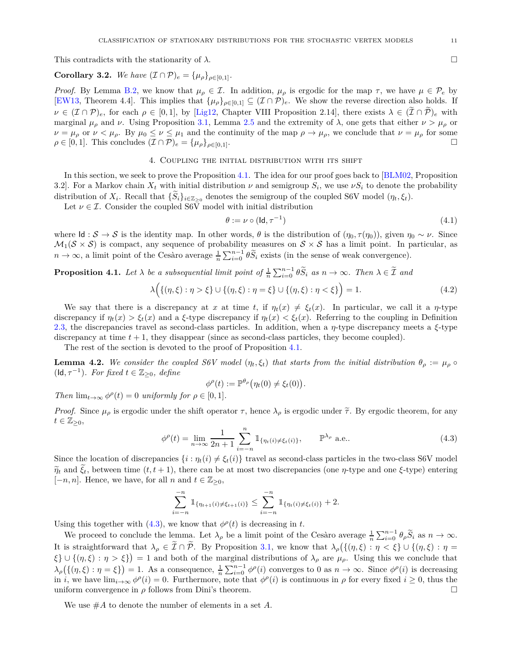This contradicts with the stationarity of  $\lambda$ .

<span id="page-10-6"></span>**Corollary 3.2.** *We have*  $({\cal I} \cap {\cal P})_e = {\mu_o}_{o \in [0,1]}$ *.* 

*Proof.* By Lemma [B.2,](#page-21-2) we know that  $\mu_{\rho} \in \mathcal{I}$ . In addition,  $\mu_{\rho}$  is ergodic for the map  $\tau$ , we have  $\mu \in \mathcal{P}_e$  by [\[EW13,](#page-22-33) Theorem 4.4]. This implies that  $\{\mu_{\rho}\}_{\rho \in [0,1]} \subseteq (\mathcal{I} \cap \mathcal{P})_e$ . We show the reverse direction also holds. If  $\nu \in (\mathcal{I} \cap \mathcal{P})_e$ , for each  $\rho \in [0,1]$ , by [\[Lig12,](#page-23-17) Chapter VIII Proposition 2.14], there exists  $\lambda \in (\mathcal{I} \cap \mathcal{P})_e$  with marginal  $\mu_{\rho}$  and *ν*. Using Proposition [3.1,](#page-8-0) Lemma [2.5](#page-8-3) and the extremity of  $\lambda$ , one gets that either  $\nu > \mu_{\rho}$  or  $\nu = \mu_{\rho}$  or  $\nu < \mu_{\rho}$ . By  $\mu_0 \leq \nu \leq \mu_1$  and the continuity of the map  $\rho \to \mu_{\rho}$ , we conclude that  $\nu = \mu_{\rho}$  for some  $\rho \in [0, 1]$ . This concludes  $(\mathcal{I} \cap \mathcal{P})_e = {\mu_\rho}_{\rho \in [0, 1]}$ .

# 4. Coupling the initial distribution with its shift

<span id="page-10-0"></span>In this section, we seek to prove the Proposition [4.1.](#page-10-1) The idea for our proof goes back to [\[BLM02,](#page-22-19) Proposition 3.2]. For a Markov chain  $X_t$  with initial distribution  $\nu$  and semigroup  $S_i$ , we use  $\nu S_i$  to denote the probability distribution of  $X_i$ . Recall that  $\{S_i\}_{i \in \mathbb{Z}_{\geq 0}}$  denotes the semigroup of the coupled S6V model  $(\eta_t, \xi_t)$ .

Let  $\nu \in \mathcal{I}$ . Consider the coupled S6 $\bar{V}$  model with initial distribution

<span id="page-10-3"></span>
$$
\theta := \nu \circ (\mathsf{Id}, \tau^{-1}) \tag{4.1}
$$

where  $\mathsf{Id}: \mathcal{S} \to \mathcal{S}$  is the identity map. In other words,  $\theta$  is the distribution of  $(\eta_0, \tau(\eta_0))$ , given  $\eta_0 \sim \nu$ . Since  $\mathcal{M}_1(\mathcal{S} \times \mathcal{S})$  is compact, any sequence of probability measures on  $\mathcal{S} \times \mathcal{S}$  has a limit point. In particular, as  $n \to \infty$ , a limit point of the Cesàro average  $\frac{1}{n} \sum_{i=0}^{n-1} \theta \widetilde{S}_i$  exists (in the sense of weak convergence).

<span id="page-10-1"></span>**Proposition 4.1.** Let  $\lambda$  be a subsequential limit point of  $\frac{1}{n} \sum_{i=0}^{n-1} \theta \widetilde{S}_i$  as  $n \to \infty$ . Then  $\lambda \in \widetilde{\mathcal{I}}$  and

<span id="page-10-5"></span>
$$
\lambda(\{(\eta,\xi): \eta > \xi\} \cup \{(\eta,\xi): \eta = \xi\} \cup \{(\eta,\xi): \eta < \xi\}\big) = 1.
$$
\n(4.2)

We say that there is a discrepancy at *x* at time *t*, if  $\eta_t(x) \neq \xi_t(x)$ . In particular, we call it a *η*-type discrepancy if  $\eta_t(x) > \xi_t(x)$  and a  $\xi$ -type discrepancy if  $\eta_t(x) < \xi_t(x)$ . Referring to the coupling in Definition [2.3,](#page-7-2) the discrepancies travel as second-class particles. In addition, when a *η*-type discrepancy meets a *ξ*-type discrepancy at time  $t + 1$ , they disappear (since as second-class particles, they become coupled).

The rest of the section is devoted to the proof of Proposition [4.1.](#page-10-1)

<span id="page-10-4"></span>**Lemma 4.2.** We consider the coupled S6V model  $(\eta_t, \xi_t)$  that starts from the initial distribution  $\theta_\rho := \mu_\rho \circ$ ( $\text{Id}, \tau^{-1}$ ). For fixed  $t \in \mathbb{Z}_{\geq 0}$ , define

$$
\phi^{\rho}(t) := \mathbb{P}^{\theta_{\rho}}(\eta_t(0) \neq \xi_t(0)).
$$

*Then*  $\lim_{t \to \infty} \phi^{\rho}(t) = 0$  *uniformly for*  $\rho \in [0, 1]$ *.* 

*Proof.* Since  $\mu_{\rho}$  is ergodic under the shift operator  $\tau$ , hence  $\lambda_{\rho}$  is ergodic under  $\tilde{\tau}$ . By ergodic theorem, for any  $t \in \mathbb{Z}_{\geq 0},$ 

<span id="page-10-2"></span>
$$
\phi^{\rho}(t) = \lim_{n \to \infty} \frac{1}{2n+1} \sum_{i=-n}^{n} \mathbb{1}_{\{\eta_t(i) \neq \xi_t(i)\}}, \qquad \mathbb{P}^{\lambda_{\rho}} \text{ a.e..} \tag{4.3}
$$

Since the location of discrepancies  $\{i : \eta_t(i) \neq \xi_t(i)\}$  travel as second-class particles in the two-class S6V model  $\tilde{\eta}_t$  and  $\tilde{\xi}_t$ , between time  $(t, t+1)$ , there can be at most two discrepancies (one *η*-type and one *ξ*-type) entering [ $-n, n$ ]. Hence, we have, for all *n* and  $t \in \mathbb{Z}_{\geq 0}$ ,

$$
\sum_{i=-n}^{-n} 1\!\!1_{\{\eta_{t+1}(i)\neq \xi_{t+1}(i)\}} \leq \sum_{i=-n}^{-n} 1\!\!1_{\{\eta_t(i)\neq \xi_t(i)\}} + 2.
$$

Using this together with  $(4.3)$ , we know that  $\phi^{\rho}(t)$  is decreasing in *t*.

We proceed to conclude the lemma. Let  $\lambda_{\rho}$  be a limit point of the Cesaro average  $\frac{1}{n} \sum_{i=0}^{n-1} \theta_{\rho} \widetilde{S}_i$  as  $n \to \infty$ . It is straightforward that  $\lambda_{\rho} \in \tilde{\mathcal{I}} \cap \tilde{\mathcal{P}}$ . By Proposition [3.1,](#page-8-0) we know that  $\lambda_{\rho}(\{(\eta,\xi): \eta < \xi\} \cup \{(\eta,\xi): \eta =$  $\{\xi\} \cup \{(\eta,\xi) : \eta > \xi\}$  = 1 and both of the marginal distributions of  $\lambda_\rho$  are  $\mu_\rho$ . Using this we conclude that  $\lambda_{\rho}(\{(n,\xi): \eta = \xi\}) = 1$ . As a consequence,  $\frac{1}{n} \sum_{i=0}^{n-1} \phi^{\rho}(i)$  converges to 0 as  $n \to \infty$ . Since  $\phi^{\rho}(i)$  is decreasing in *i*, we have  $\lim_{i\to\infty}\phi^{\rho}(i)=0$ . Furthermore, note that  $\phi^{\rho}(i)$  is continuous in  $\rho$  for every fixed  $i\geq 0$ , thus the uniform convergence in  $\rho$  follows from Dini's theorem.

We use #*A* to denote the number of elements in a set *A*.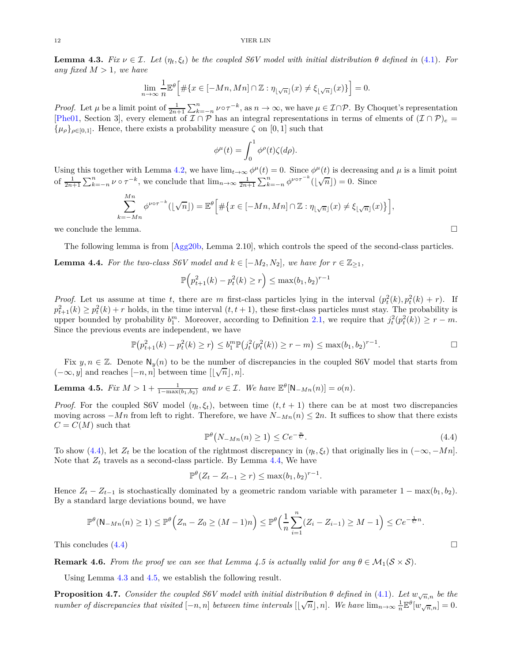<span id="page-11-3"></span>**Lemma 4.3.** *Fix ν* ∈ *I. Let* ( $η<sub>t</sub>, ξ<sub>t</sub>$ ) *be the coupled S6V model with initial distribution θ defined in* [\(4.1\)](#page-10-3)*. For any fixed*  $M > 1$ *, we have* 

$$
\lim_{n \to \infty} \frac{1}{n} \mathbb{E}^{\theta} \Big[ \# \{ x \in [-Mn, Mn] \cap \mathbb{Z} : \eta_{\lfloor \sqrt{n} \rfloor}(x) \neq \xi_{\lfloor \sqrt{n} \rfloor}(x) \} \Big] = 0.
$$

*Proof.* Let  $\mu$  be a limit point of  $\frac{1}{2n+1} \sum_{k=-n}^{n} \nu \circ \tau^{-k}$ , as  $n \to \infty$ , we have  $\mu \in \mathcal{I} \cap \mathcal{P}$ . By Choquet's representation [\[Phe01,](#page-23-18) Section 3], every element of  $\mathcal{I} \cap \mathcal{P}$  has an integral representations in terms of elments of  $(\mathcal{I} \cap \mathcal{P})_e$  =  ${\mu_{\rho}}_{\rho \in [0,1]}$ . Hence, there exists a probability measure  $\zeta$  on [0, 1] such that

$$
\phi^{\mu}(t) = \int_0^1 \phi^{\rho}(t) \zeta(d\rho).
$$

Using this together with Lemma [4.2,](#page-10-4) we have  $\lim_{t\to\infty}\phi^{\mu}(t)=0$ . Since  $\phi^{\mu}(t)$  is decreasing and  $\mu$  is a limit point of  $\frac{1}{2n+1}\sum_{k=-n}^{n} \nu \circ \tau^{-k}$ , we conclude that  $\lim_{n\to\infty} \frac{1}{2n+1}\sum_{k=-n}^{n} \phi^{\nu \circ \tau^{-k}}(\lfloor \sqrt{n} \rfloor) = 0$ . Since

$$
\sum_{k=-Mn}^{Mn} \phi^{\nu \circ \tau^{-k}}(\lfloor \sqrt{n} \rfloor) = \mathbb{E}^{\theta} \Big[ \# \big\{ x \in [-Mn, Mn] \cap \mathbb{Z} : \eta_{\lfloor \sqrt{n} \rfloor}(x) \neq \xi_{\lfloor \sqrt{n} \rfloor}(x) \big\} \Big],
$$

we conclude the lemma.  $\Box$ 

The following lemma is from [\[Agg20b,](#page-22-0) Lemma 2.10], which controls the speed of the second-class particles.

<span id="page-11-2"></span>**Lemma 4.4.** For the two-class S6V model and  $k \in [-M_2, N_2]$ , we have for  $r \in \mathbb{Z}_{\geq 1}$ ,

$$
\mathbb{P}\Big(p_{t+1}^2(k) - p_t^2(k) \ge r\Big) \le \max(b_1, b_2)^{r-1}
$$

*Proof.* Let us assume at time *t*, there are *m* first-class particles lying in the interval  $(p_t^2(k), p_t^2(k) + r)$ . If  $p_{t+1}^2(k) \geq p_t^2(k) + r$  holds, in the time interval  $(t, t+1)$ , these first-class particles must stay. The probability is upper bounded by probability  $b_1^m$ . Moreover, according to Definition [2.1,](#page-7-0) we require that  $j_t^2(p_t^2(k)) \ge r - m$ . Since the previous events are independent, we have

$$
\mathbb{P}(p_{t+1}^2(k) - p_t^2(k) \ge r) \le b_1^m \mathbb{P}(j_t^2(p_t^2(k)) \ge r - m) \le \max(b_1, b_2)^{r-1}.
$$

Fix  $y, n \in \mathbb{Z}$ . Denote  $\mathsf{N}_y(n)$  to be the number of discrepancies in the coupled S6V model that starts from  $(-\infty, y]$  and reaches  $[-n, n]$  between time  $[\lfloor \sqrt{n} \rfloor, n]$ .

<span id="page-11-4"></span>**Lemma 4.5.** *Fix*  $M > 1 + \frac{1}{1 - \max(b_1, b_2)}$  *and*  $\nu \in \mathcal{I}$ *. We have*  $\mathbb{E}^{\theta}[\mathsf{N}_{-Mn}(n)] = o(n)$ *.* 

*Proof.* For the coupled S6V model  $(\eta_t, \xi_t)$ , between time  $(t, t + 1)$  there can be at most two discrepancies moving across  $-Mn$  from left to right. Therefore, we have  $N_{-Mn}(n) \leq 2n$ . It suffices to show that there exists  $C = C(M)$  such that

<span id="page-11-1"></span>
$$
\mathbb{P}^{\theta}\big(N_{-Mn}(n)\geq 1\big)\leq Ce^{-\frac{n}{C}}.\tag{4.4}
$$

To show [\(4.4\)](#page-11-1), let  $Z_t$  be the location of the rightmost discrepancy in  $(\eta_t, \xi_t)$  that originally lies in  $(-\infty, -Mn]$ . Note that  $Z_t$  travels as a second-class particle. By Lemma [4.4,](#page-11-2) We have

$$
\mathbb{P}^{\theta}(Z_t - Z_{t-1} \ge r) \le \max(b_1, b_2)^{r-1}.
$$

Hence  $Z_t - Z_{t-1}$  is stochastically dominated by a geometric random variable with parameter  $1 - \max(b_1, b_2)$ . By a standard large deviations bound, we have

$$
\mathbb{P}^{\theta}(\mathsf{N}_{-Mn}(n) \ge 1) \le \mathbb{P}^{\theta}\Big(Z_n - Z_0 \ge (M-1)n\Big) \le \mathbb{P}^{\theta}\Big(\frac{1}{n}\sum_{i=1}^n (Z_i - Z_{i-1}) \ge M-1\Big) \le Ce^{-\frac{1}{C}n}.
$$
  
This concludes (4.4)

**Remark 4.6.** *From the proof we can see that Lemma 4.5 is actually valid for any*  $\theta \in M_1(S \times S)$ *.* 

Using Lemma [4.3](#page-11-3) and [4.5,](#page-11-4) we establish the following result.

<span id="page-11-0"></span>**Proposition 4.7.** *Consider the coupled S6V model with initial distribution*  $\theta$  *defined in* [\(4.1\)](#page-10-3)*. Let*  $w_{\sqrt{n},n}$  *be the number of discrepancies that visited*  $[-n, n]$  *between time intervals*  $[\lfloor \sqrt{n} \rfloor, n]$ *. We have*  $\lim_{n \to \infty} \frac{1}{n} \mathbb{E}^{\theta}[\psi_{\sqrt{n},n}]} = 0$ *.*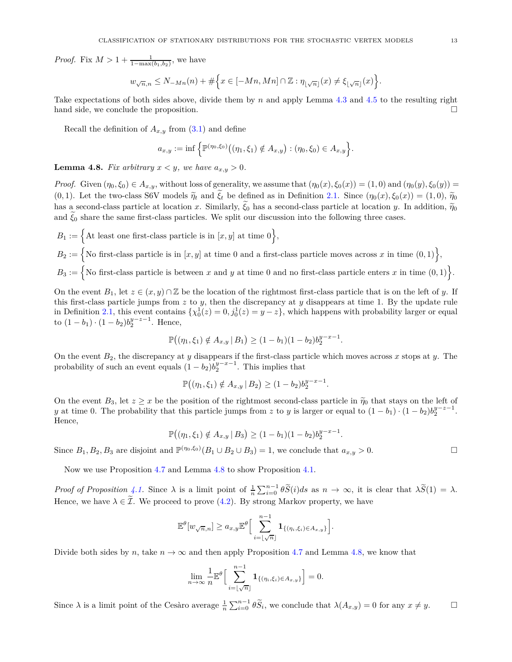*Proof.* Fix  $M > 1 + \frac{1}{1 - \max(b_1, b_2)}$ , we have

$$
w_{\sqrt{n},n} \leq N_{-Mn}(n) + \#\Big\{x \in [-Mn, Mn] \cap \mathbb{Z} : \eta_{\lfloor \sqrt{n} \rfloor}(x) \neq \xi_{\lfloor \sqrt{n} \rfloor}(x)\Big\}.
$$

Take expectations of both sides above, divide them by *n* and apply Lemma [4.3](#page-11-3) and [4.5](#page-11-4) to the resulting right hand side, we conclude the proposition.

Recall the definition of  $A_{x,y}$  from [\(3.1\)](#page-8-4) and define

$$
a_{x,y} := \inf \left\{ \mathbb{P}^{(\eta_0,\xi_0)}((\eta_1,\xi_1) \notin A_{x,y}) : (\eta_0,\xi_0) \in A_{x,y} \right\}.
$$

<span id="page-12-0"></span>**Lemma 4.8.** *Fix arbitrary*  $x < y$ *, we have*  $a_{x,y} > 0$ *.* 

*Proof.* Given  $(\eta_0, \xi_0) \in A_{x,y}$ , without loss of generality, we assume that  $(\eta_0(x), \xi_0(x)) = (1,0)$  and  $(\eta_0(y), \xi_0(y)) =$ (0, 1). Let the two-class S6V models  $\tilde{\eta}_t$  and  $\tilde{\xi}_t$  be defined as in Definition [2.1.](#page-7-0) Since  $(\eta_0(x), \xi_0(x)) = (1, 0), \tilde{\eta}_0$ has a second-class particle at location *x*. Similarly,  $\tilde{\xi}_0$  has a second-class particle at location *y*. In addition,  $\tilde{\eta}_0$ and  $\xi_0$  share the same first-class particles. We split our discussion into the following three cases.

 $B_1 := \Big\{$  At least one first-class particle is in  $[x, y]$  at time 0 $\Big\},$ 

 $B_2 := \{ \text{No first-class particle is in } [x, y] \text{ at time 0 and a first-class particle moves across x in time (0, 1) \},\}$ 

 $B_3 := \{ \text{No first-class particle is between } x \text{ and } y \text{ at time 0 and no first-class particle enters  $x \text{ in time } (0,1) \}$ .$ 

On the event  $B_1$ , let  $z \in (x, y) \cap \mathbb{Z}$  be the location of the rightmost first-class particle that is on the left of *y*. If this first-class particle jumps from *z* to *y*, then the discrepancy at *y* disappears at time 1. By the update rule in Definition [2.1,](#page-7-0) this event contains  $\{\chi_0^1(z) = 0, j_0^1(z) = y - z\}$ , which happens with probability larger or equal to  $(1 - b_1) \cdot (1 - b_2) b_2^{y-z-1}$ . Hence,

$$
\mathbb{P}((\eta_1, \xi_1) \notin A_{x,y} | B_1) \ge (1 - b_1)(1 - b_2)b_2^{y-x-1}.
$$

On the event *B*2, the discrepancy at *y* disappears if the first-class particle which moves across *x* stops at *y*. The probability of such an event equals  $(1 - b_2)b_2^{y-x-1}$ . This implies that

$$
\mathbb{P}((\eta_1, \xi_1) \notin A_{x,y} | B_2) \ge (1 - b_2)b_2^{y-x-1}
$$

*.*

On the event  $B_3$ , let  $z \geq x$  be the position of the rightmost second-class particle in  $\tilde{\eta}_0$  that stays on the left of *y* at time 0. The probability that this particle jumps from *z* to *y* is larger or equal to  $(1 - b_1) \cdot (1 - b_2) b_2^{y-z-1}$ . Hence,

$$
\mathbb{P}((\eta_1, \xi_1) \notin A_{x,y} | B_3) \ge (1 - b_1)(1 - b_2)b_2^{y-x-1}.
$$

Since  $B_1, B_2, B_3$  are disjoint and  $\mathbb{P}^{(\eta_0,\xi_0)}(B_1 \cup B_2 \cup B_3) = 1$ , we conclude that  $a_{x,y} > 0$ .

Now we use Proposition [4.7](#page-11-0) and Lemma [4.8](#page-12-0) to show Proposition [4.1.](#page-10-1)

*Proof of Proposition* [4.1.](#page-10-1) Since  $\lambda$  is a limit point of  $\frac{1}{n} \sum_{i=0}^{n-1} \theta \widetilde{S}(i) ds$  as  $n \to \infty$ , it is clear that  $\lambda \widetilde{S}(1) = \lambda$ . Hence, we have  $\lambda \in \tilde{\mathcal{I}}$ . We proceed to prove [\(4.2\)](#page-10-5). By strong Markov property, we have

$$
\mathbb{E}^{\theta}[w_{\sqrt{n},n}] \geq a_{x,y} \mathbb{E}^{\theta} \Big[ \sum_{i=\lfloor \sqrt{n} \rfloor}^{n-1} \mathbf{1}_{\{( \eta_i, \xi_i) \in A_{x,y}\}} \Big].
$$

Divide both sides by *n*, take  $n \to \infty$  and then apply Proposition [4.7](#page-11-0) and Lemma [4.8,](#page-12-0) we know that

$$
\lim_{n\to\infty}\frac{1}{n}\mathbb{E}^{\theta}\Big[\sum_{i=\lfloor\sqrt{n}\rfloor}^{n-1}\mathbf{1}_{\{(\eta_i,\xi_i)\in A_{x,y}\}}\Big]=0.
$$

Since  $\lambda$  is a limit point of the Cesàro average  $\frac{1}{n} \sum_{i=0}^{n-1} \theta \widetilde{S}_i$ , we conclude that  $\lambda(A_{x,y}) = 0$  for any  $x \neq y$ .

$$
\sqcup
$$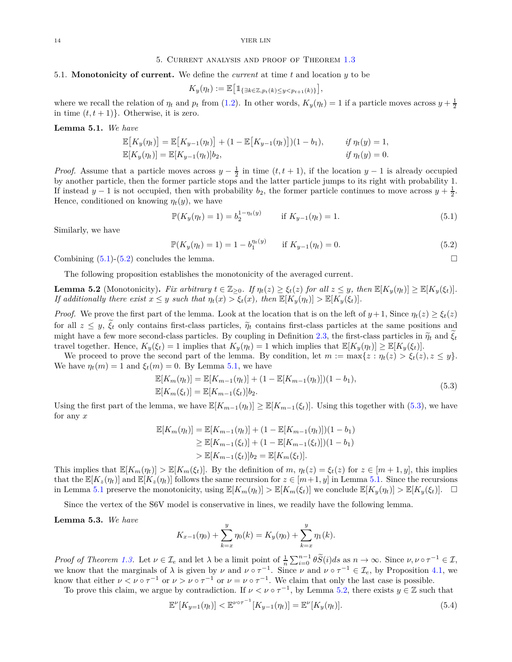### 5. Current analysis and proof of Theorem [1.3](#page-2-3)

### <span id="page-13-0"></span>5.1. **Monotonicity of current.** We define the *current* at time *t* and location *y* to be

$$
K_y(\eta_t) := \mathbb{E}\big[\mathbb{1}_{\{\exists k \in \mathbb{Z}, p_t(k) \leq y < p_{t+1}(k)\}}\big],
$$

where we recall the relation of  $\eta_t$  and  $p_t$  from [\(1.2\)](#page-1-1). In other words,  $K_y(\eta_t) = 1$  if a particle moves across  $y + \frac{1}{2}$ in time  $(t, t + 1)$ . Otherwise, it is zero.

#### <span id="page-13-3"></span>**Lemma 5.1.** *We have*

$$
\mathbb{E}[K_y(\eta_t)] = \mathbb{E}[K_{y-1}(\eta_t)] + (1 - \mathbb{E}[K_{y-1}(\eta_t)])(1 - b_1), \quad \text{if } \eta_t(y) = 1, \n\mathbb{E}[K_y(\eta_t)] = \mathbb{E}[K_{y-1}(\eta_t)]b_2, \quad \text{if } \eta_t(y) = 0.
$$

*Proof.* Assume that a particle moves across  $y - \frac{1}{2}$  in time  $(t, t + 1)$ , if the location  $y - 1$  is already occupied by another particle, then the former particle stops and the latter particle jumps to its right with probability 1. If instead *y* − 1 is not occupied, then with probability *b*<sub>2</sub>, the former particle continues to move across *y* +  $\frac{1}{2}$ . Hence, conditioned on knowing  $\eta_t(y)$ , we have

<span id="page-13-1"></span>
$$
\mathbb{P}(K_y(\eta_t) = 1) = b_2^{1 - \eta_t(y)} \qquad \text{if } K_{y-1}(\eta_t) = 1. \tag{5.1}
$$

Similarly, we have

<span id="page-13-2"></span>
$$
\mathbb{P}(K_y(\eta_t) = 1) = 1 - b_1^{\eta_t(y)} \quad \text{if } K_{y-1}(\eta_t) = 0.
$$
\n(5.2)

Combining  $(5.1)$ - $(5.2)$  concludes the lemma.

The following proposition establishes the monotonicity of the averaged current.

<span id="page-13-5"></span>**Lemma 5.2** (Monotonicity). Fix arbitrary  $t \in \mathbb{Z}_{\geq 0}$ . If  $\eta_t(z) \geq \xi_t(z)$  for all  $z \leq y$ , then  $\mathbb{E}[K_y(\eta_t)] \geq \mathbb{E}[K_y(\xi_t)]$ . If additionally there exist  $x \leq y$  such that  $\eta_t(x) > \xi_t(x)$ , then  $\mathbb{E}[K_y(\eta_t)] > \mathbb{E}[K_y(\xi_t)].$ 

*Proof.* We prove the first part of the lemma. Look at the location that is on the left of  $y + 1$ , Since  $\eta_t(z) \geq \xi_t(z)$ for all  $z \leq y$ ,  $\zeta_t$  only contains first-class particles,  $\tilde{\eta}_t$  contains first-class particles at the same positions and might have a few more second-class particles. By coupling in Definition [2.3,](#page-7-2) the first-class particles in  $\tilde{\eta}_t$  and  $\xi_t$ travel together. Hence,  $K_y(\xi_t) = 1$  implies that  $K_y(\eta_t) = 1$  which implies that  $\mathbb{E}[K_y(\eta_t)] \geq \mathbb{E}[K_y(\xi_t)].$ 

We proceed to prove the second part of the lemma. By condition, let  $m := \max\{z : \eta_t(z) > \xi_t(z), z \leq y\}.$ We have  $\eta_t(m) = 1$  and  $\xi_t(m) = 0$ . By Lemma [5.1,](#page-13-3) we have

$$
\mathbb{E}[K_m(\eta_t)] = \mathbb{E}[K_{m-1}(\eta_t)] + (1 - \mathbb{E}[K_{m-1}(\eta_t)])(1 - b_1),
$$
  
\n
$$
\mathbb{E}[K_m(\xi_t)] = \mathbb{E}[K_{m-1}(\xi_t)]b_2.
$$
\n(5.3)

<span id="page-13-4"></span>Using the first part of the lemma, we have  $\mathbb{E}[K_{m-1}(\eta_t)] \geq \mathbb{E}[K_{m-1}(\xi_t)].$  Using this together with [\(5.3\)](#page-13-4), we have for any *x*

$$
\mathbb{E}[K_m(\eta_t)] = \mathbb{E}[K_{m-1}(\eta_t)] + (1 - \mathbb{E}[K_{m-1}(\eta_t)])(1 - b_1)
$$
  
\n
$$
\geq \mathbb{E}[K_{m-1}(\xi_t)] + (1 - \mathbb{E}[K_{m-1}(\xi_t)])(1 - b_1)
$$
  
\n
$$
> \mathbb{E}[K_{m-1}(\xi_t)]b_2 = \mathbb{E}[K_m(\xi_t)].
$$

This implies that  $\mathbb{E}[K_m(\eta_t)] > \mathbb{E}[K_m(\xi_t)].$  By the definition of m,  $\eta_t(z) = \xi_t(z)$  for  $z \in [m+1, y]$ , this implies that the  $\mathbb{E}[K_z(\eta_t)]$  and  $\mathbb{E}[K_z(\eta_t)]$  follows the same recursion for  $z \in [m+1, y]$  in Lemma [5.1.](#page-13-3) Since the recursions in Lemma [5.1](#page-13-3) preserve the monotonicity, using  $\mathbb{E}[K_m(\eta_t)] > \mathbb{E}[K_m(\xi_t)]$  we conclude  $\mathbb{E}[K_y(\eta_t)] > \mathbb{E}[K_y(\xi_t)].$ 

Since the vertex of the S6V model is conservative in lines, we readily have the following lemma.

#### <span id="page-13-7"></span>**Lemma 5.3.** *We have*

$$
K_{x-1}(\eta_0) + \sum_{k=x}^{y} \eta_0(k) = K_y(\eta_0) + \sum_{k=x}^{y} \eta_1(k).
$$

*Proof of Theorem [1.3.](#page-2-3)* Let  $\nu \in \mathcal{I}_e$  and let  $\lambda$  be a limit point of  $\frac{1}{n} \sum_{i=0}^{n-1} \theta \widetilde{S}(i) ds$  as  $n \to \infty$ . Since  $\nu, \nu \circ \tau^{-1} \in \mathcal{I}$ , we know that the marginals of  $\lambda$  is given by  $\nu$  and  $\nu \circ \tau^{-1}$ . Since  $\nu$  and  $\nu \circ \tau^{-1} \in \mathcal{I}_e$ , by Proposition [4.1,](#page-10-1) we know that either  $\nu < \nu \circ \tau^{-1}$  or  $\nu > \nu \circ \tau^{-1}$  or  $\nu = \nu \circ \tau^{-1}$ . We claim that only the last case is possible.

To prove this claim, we argue by contradiction. If  $\nu < \nu \circ \tau^{-1}$ , by Lemma [5.2,](#page-13-5) there exists  $y \in \mathbb{Z}$  such that

<span id="page-13-6"></span>
$$
\mathbb{E}^{\nu}[K_{y=1}(\eta_t)] < \mathbb{E}^{\nu \circ \tau^{-1}}[K_{y-1}(\eta_t)] = \mathbb{E}^{\nu}[K_y(\eta_t)].\tag{5.4}
$$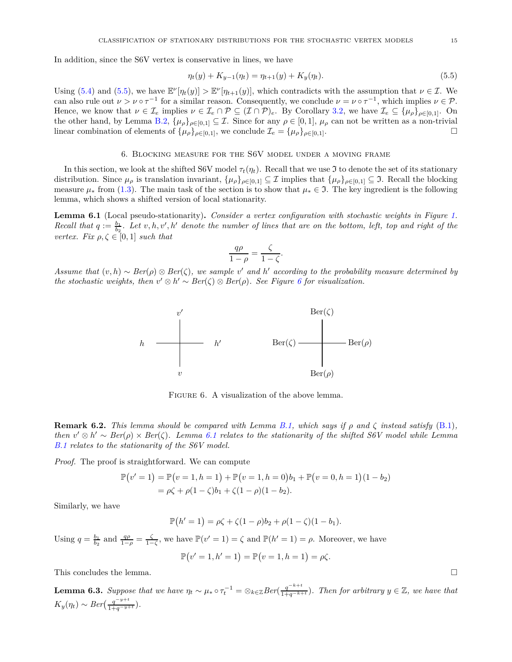In addition, since the S6V vertex is conservative in lines, we have

<span id="page-14-2"></span>
$$
\eta_t(y) + K_{y-1}(\eta_t) = \eta_{t+1}(y) + K_y(\eta_t). \tag{5.5}
$$

Using [\(5.4\)](#page-13-6) and [\(5.5\)](#page-14-2), we have  $\mathbb{E}^{\nu}[\eta_t(y)] > \mathbb{E}^{\nu}[\eta_{t+1}(y)]$ , which contradicts with the assumption that  $\nu \in \mathcal{I}$ . We can also rule out  $\nu > \nu \circ \tau^{-1}$  for a similar reason. Consequently, we conclude  $\nu = \nu \circ \tau^{-1}$ , which implies  $\nu \in \mathcal{P}$ . Hence, we know that  $\nu \in \mathcal{I}_e$  implies  $\nu \in \mathcal{I}_e \cap \mathcal{P} \subseteq (\mathcal{I} \cap \mathcal{P})_e$ . By Corollary [3.2,](#page-10-6) we have  $\mathcal{I}_e \subseteq {\mu_\rho}_{\rho \in [0,1]}$ . On the other hand, by Lemma [B.2,](#page-21-2)  $\{\mu_{\rho}\}_{\rho \in [0,1]} \subseteq \mathcal{I}$ . Since for any  $\rho \in [0,1]$ ,  $\mu_{\rho}$  can not be written as a non-trivial linear combination of elements of  $\{\mu_{\rho}\}_{\rho \in [0,1]}$ , we conclude  $\mathcal{I}_{\rho} = \{\mu_{\rho}\}_{\rho \in$ linear combination of elements of  $\{\mu_{\rho}\}_{\rho \in [0,1]},$  we conclude  $\mathcal{I}_e = \{\mu_{\rho}\}_{\rho \in [0,1]}$ .

## 6. Blocking measure for the S6V model under a moving frame

<span id="page-14-1"></span>In this section, we look at the shifted S6V model  $\tau_t(\eta_t)$ . Recall that we use J to denote the set of its stationary distribution. Since  $\mu_{\rho}$  is translation invariant,  $\{\mu_{\rho}\}_{\rho \in [0,1]} \subseteq \mathcal{I}$  implies that  $\{\mu_{\rho}\}_{\rho \in [0,1]} \subseteq \mathcal{I}$ . Recall the blocking measure  $\mu_*$  from [\(1.3\)](#page-2-4). The main task of the section is to show that  $\mu_* \in \mathcal{I}$ . The key ingredient is the following lemma, which shows a shifted version of local stationarity.

<span id="page-14-0"></span>**Lemma 6.1** (Local pseudo-stationarity)**.** *Consider a vertex configuration with stochastic weights in Figure [1.](#page-0-0) Recall that*  $q := \frac{b_1}{b_2}$ . Let  $v, h, v', h'$  denote the number of lines that are on the bottom, left, top and right of the *vertex. Fix*  $\rho, \zeta \in [0, 1]$  *such that* 

$$
\frac{q\rho}{1-\rho} = \frac{\zeta}{1-\zeta}.
$$

<span id="page-14-3"></span>*Assume that*  $(v, h) \sim Ber(\rho) \otimes Ber(\zeta)$ , we sample  $v'$  and  $h'$  according to the probability measure determined by *the stochastic weights, then*  $v' \otimes h' \sim Ber(\zeta) \otimes Ber(\rho)$ *. See Figure [6](#page-14-3) for visualization.* 



FIGURE 6. A visualization of the above lemma.

**Remark 6.2.** *This lemma should be compared with Lemma [B.1,](#page-21-3) which says if ρ and ζ instead satisfy* [\(B.1\)](#page-21-4)*, then*  $v' \otimes h' \sim Ber(\rho) \times Ber(\zeta)$ . Lemma [6.1](#page-14-0) relates to the stationarity of the shifted S6V model while Lemma *[B.1](#page-21-3) relates to the stationarity of the S6V model.*

*Proof.* The proof is straightforward. We can compute

$$
\mathbb{P}(v'=1) = \mathbb{P}(v=1, h=1) + \mathbb{P}(v=1, h=0)b_1 + \mathbb{P}(v=0, h=1)(1-b_2) \n= \rho\zeta + \rho(1-\zeta)b_1 + \zeta(1-\rho)(1-b_2).
$$

Similarly, we have

$$
\mathbb{P}(h'=1) = \rho \zeta + \zeta(1-\rho)b_2 + \rho(1-\zeta)(1-b_1).
$$

Using  $q = \frac{b_1}{b_2}$  and  $\frac{q\rho}{1-\rho} = \frac{\zeta}{1-\zeta}$ , we have  $\mathbb{P}(v' = 1) = \zeta$  and  $\mathbb{P}(h' = 1) = \rho$ . Moreover, we have

$$
\mathbb{P}(v'=1, h'=1) = \mathbb{P}(v=1, h=1) = \rho \zeta.
$$

This concludes the lemma.

<span id="page-14-4"></span>**Lemma 6.3.** Suppose that we have  $\eta_t \sim \mu_* \circ \tau_t^{-1} = \otimes_{k \in \mathbb{Z}} Ber(\frac{q^{-k+t}}{1+q^{-k+t}})$ . Then for arbitrary  $y \in \mathbb{Z}$ , we have that  $K_y(\eta_t) \sim Ber(\frac{q^{-y+t}}{1+q^{-y+t}})$ *.*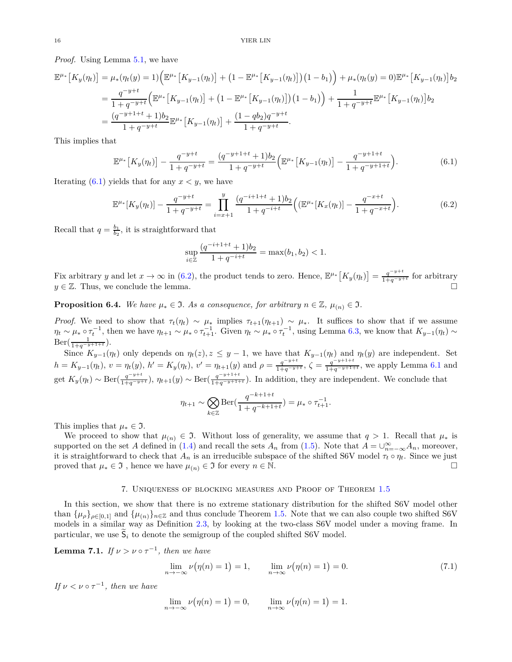*Proof.* Using Lemma [5.1,](#page-13-3) we have

$$
\mathbb{E}^{\mu*} \left[ K_y(\eta_t) \right] = \mu_* (\eta_t(y) = 1) \Big( \mathbb{E}^{\mu*} \left[ K_{y-1}(\eta_t) \right] + \left( 1 - \mathbb{E}^{\mu*} \left[ K_{y-1}(\eta_t) \right] \right) \left( 1 - b_1 \right) \Big) + \mu_* (\eta_t(y) = 0) \mathbb{E}^{\mu*} \left[ K_{y-1}(\eta_t) \right] b_2
$$
\n
$$
= \frac{q^{-y+t}}{1 + q^{-y+t}} \Big( \mathbb{E}^{\mu*} \left[ K_{y-1}(\eta_t) \right] + \left( 1 - \mathbb{E}^{\mu*} \left[ K_{y-1}(\eta_t) \right] \right) \left( 1 - b_1 \right) \Big) + \frac{1}{1 + q^{-y+t}} \mathbb{E}^{\mu*} \left[ K_{y-1}(\eta_t) \right] b_2
$$
\n
$$
= \frac{(q^{-y+1+t} + 1)b_2}{1 + q^{-y+t}} \mathbb{E}^{\mu*} \left[ K_{y-1}(\eta_t) \right] + \frac{(1 - qb_2)q^{-y+t}}{1 + q^{-y+t}}.
$$

This implies that

<span id="page-15-1"></span>
$$
\mathbb{E}^{\mu*}\left[K_y(\eta_t)\right] - \frac{q^{-y+t}}{1+q^{-y+t}} = \frac{(q^{-y+1+t}+1)b_2}{1+q^{-y+t}} \Big(\mathbb{E}^{\mu*}\left[K_{y-1}(\eta_t)\right] - \frac{q^{-y+1+t}}{1+q^{-y+1+t}}\Big). \tag{6.1}
$$

Iterating  $(6.1)$  yields that for any  $x < y$ , we have

<span id="page-15-2"></span>
$$
\mathbb{E}^{\mu*}[K_y(\eta_t)] - \frac{q^{-y+t}}{1+q^{-y+t}} = \prod_{i=x+1}^y \frac{(q^{-i+1+t}+1)b_2}{1+q^{-i+t}} \Big( (\mathbb{E}^{\mu*}[K_x(\eta_t)] - \frac{q^{-x+t}}{1+q^{-x+t}} \Big). \tag{6.2}
$$

Recall that  $q = \frac{b_1}{b_2}$ , it is straightforward that

$$
\sup_{i \in \mathbb{Z}} \frac{(q^{-i+1+t} + 1)b_2}{1 + q^{-i+t}} = \max(b_1, b_2) < 1.
$$

Fix arbitrary *y* and let  $x \to \infty$  in [\(6.2\)](#page-15-2), the product tends to zero. Hence,  $\mathbb{E}^{\mu_*}[K_y(\eta_t)] = \frac{q^{-y+t}}{1+q^{-y+t}}$  for arbitrary  $y \in \mathbb{Z}$ . Thus, we conclude the lemma.

<span id="page-15-5"></span>**Proposition 6.4.** *We have*  $\mu_* \in \mathfrak{I}$ *. As a consequence, for arbitrary*  $n \in \mathbb{Z}$ *,*  $\mu_{(n)} \in \mathfrak{I}$ *.* 

*Proof.* We need to show that  $\tau_t(\eta_t) \sim \mu_*$  implies  $\tau_{t+1}(\eta_{t+1}) \sim \mu_*$ . It suffices to show that if we assume  $\eta_t \sim \mu_* \circ \tau_t^{-1}$ , then we have  $\eta_{t+1} \sim \mu_* \circ \tau_{t+1}^{-1}$ . Given  $\eta_t \sim \mu_* \circ \tau_t^{-1}$ , using Lemma [6.3,](#page-14-4) we know that  $K_{y-1}(\eta_t) \sim$  $\text{Ber}(\frac{1}{1+q^{-y+1+t}}).$ 

Since  $K_{y-1}(\eta_t)$  only depends on  $\eta_t(z)$ ,  $z \leq y-1$ , we have that  $K_{y-1}(\eta_t)$  and  $\eta_t(y)$  are independent. Set *h* =  $K_{y-1}(\eta_t)$ ,  $v = \eta_t(y)$ ,  $h' = K_y(\eta_t)$ ,  $v' = \eta_{t+1}(y)$  and  $\rho = \frac{q^{-y+t}}{1+q^{-y+t}}$  $\frac{q^{-y+t}}{1+q^{-y+t}}, \zeta = \frac{q^{-y+1+t}}{1+q^{-y+1+t}}$ 1+*q*−*y*+1+*<sup>t</sup>* , we apply Lemma [6.1](#page-14-0) and get  $K_y(\eta_t) \sim \text{Ber}(\frac{q^{-y+t}}{1+q^{-y+t}}), \eta_{t+1}(y) \sim \text{Ber}(\frac{q^{-y+1+t}}{1+q^{-y+1+t}}).$  In addition, they are independent. We conclude that

$$
\eta_{t+1} \sim \bigotimes_{k \in \mathbb{Z}} \text{Ber}\left(\frac{q^{-k+1+t}}{1+q^{-k+1+t}}\right) = \mu_* \circ \tau_{t+1}^{-1}.
$$

This implies that  $\mu_* \in \mathfrak{I}$ .

We proceed to show that  $\mu_{(n)} \in \mathfrak{I}$ . Without loss of generality, we assume that  $q > 1$ . Recall that  $\mu_*$  is supported on the set *A* defined in [\(1.4\)](#page-2-5) and recall the sets  $A_n$  from [\(1.5\)](#page-2-6). Note that  $A = \bigcup_{n=-\infty}^{\infty} A_n$ , moreover, it is straightforward to check that  $A_n$  is an irreducible subspace of the shifted S6V model  $\tau_t \circ \eta_t$ . Since we just<br>proved that  $\mu_* \in \mathfrak{I}$ , hence we have  $\mu_{(n)} \in \mathfrak{I}$  for every  $n \in \mathbb{N}$ . proved that  $\mu_* \in \mathfrak{I}$ , hence we have  $\mu_{(n)} \in \mathfrak{I}$  for every  $n \in \mathbb{N}$ .

#### 7. Uniqueness of blocking measures and Proof of Theorem [1.5](#page-2-2)

<span id="page-15-0"></span>In this section, we show that there is no extreme stationary distribution for the shifted S6V model other than  $\{\mu_{\rho}\}_{\rho \in [0,1]}$  and  $\{\mu_{(n)}\}_{n \in \mathbb{Z}}$  and thus conclude Theorem [1.5.](#page-2-2) Note that we can also couple two shifted S6V models in a similar way as Definition [2.3,](#page-7-2) by looking at the two-class S6V model under a moving frame. In particular, we use  $S_i$  to denote the semigroup of the coupled shifted S6V model.

<span id="page-15-4"></span>**Lemma 7.1.** *If*  $\nu > \nu \circ \tau^{-1}$ , *then we have* 

<span id="page-15-3"></span>
$$
\lim_{n \to -\infty} \nu(\eta(n) = 1) = 1, \qquad \lim_{n \to \infty} \nu(\eta(n) = 1) = 0.
$$
 (7.1)

*If*  $\nu < \nu \circ \tau^{-1}$ , then we have

$$
\lim_{n \to -\infty} \nu(\eta(n) = 1) = 0, \qquad \lim_{n \to \infty} \nu(\eta(n) = 1) = 1.
$$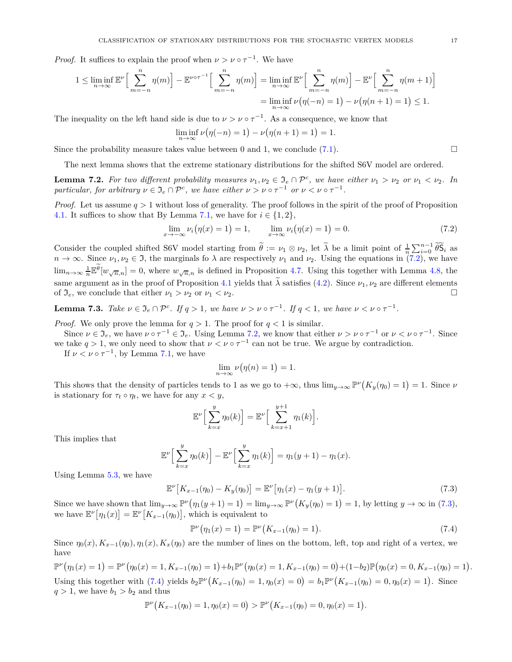*Proof.* It suffices to explain the proof when  $\nu > \nu \circ \tau^{-1}$ . We have

$$
1 \leq \liminf_{n \to \infty} \mathbb{E}^{\nu} \Big[ \sum_{m=-n}^{n} \eta(m) \Big] - \mathbb{E}^{\nu \circ \tau^{-1}} \Big[ \sum_{m=-n}^{n} \eta(m) \Big] = \liminf_{n \to \infty} \mathbb{E}^{\nu} \Big[ \sum_{m=-n}^{n} \eta(m) \Big] - \mathbb{E}^{\nu} \Big[ \sum_{m=-n}^{n} \eta(m+1) \Big] = \liminf_{n \to \infty} \nu(\eta(-n) = 1) - \nu(\eta(n+1) = 1) \leq 1.
$$

The inequality on the left hand side is due to  $\nu > \nu \circ \tau^{-1}$ . As a consequence, we know that

$$
\liminf_{n \to \infty} \nu(\eta(-n) = 1) - \nu(\eta(n+1) = 1) = 1.
$$

Since the probability measure takes value between 0 and 1, we conclude  $(7.1)$ .

The next lemma shows that the extreme stationary distributions for the shifted S6V model are ordered.

<span id="page-16-0"></span>**Lemma 7.2.** For two different probability measures  $\nu_1, \nu_2 \in \mathfrak{I}_e \cap \mathcal{P}^c$ , we have either  $\nu_1 > \nu_2$  or  $\nu_1 < \nu_2$ . In *particular, for arbitrary*  $\nu \in \mathfrak{I}_e \cap \mathcal{P}^c$ , we have either  $\nu > \nu \circ \tau^{-1}$  or  $\nu < \nu \circ \tau^{-1}$ .

*Proof.* Let us assume *q >* 1 without loss of generality. The proof follows in the spirit of the proof of Proposition [4.1.](#page-10-1) It suffices to show that By Lemma [7.1,](#page-15-4) we have for  $i \in \{1, 2\}$ ,

<span id="page-16-1"></span>
$$
\lim_{x \to -\infty} \nu_i(\eta(x) = 1) = 1, \qquad \lim_{x \to \infty} \nu_i(\eta(x) = 1) = 0. \tag{7.2}
$$

Consider the coupled shifted S6V model starting from  $\tilde{\theta} := \nu_1 \otimes \nu_2$ , let  $\tilde{\lambda}$  be a limit point of  $\frac{1}{n} \sum_{i=0}^{n-1} \tilde{\theta} \tilde{S}_i$  as  $n \to \infty$ . Since  $\nu_1, \nu_2 \in \mathfrak{I}$ , the marginals fo  $\lambda$  are respectively  $\nu_1$  and  $\nu_2$ . Using the equations in [\(7.2\)](#page-16-1), we have  $\lim_{n\to\infty} \frac{1}{n} \mathbb{E}^{\theta}[w_{\sqrt{n},n}] = 0$ , where  $w_{\sqrt{n},n}$  is defined in Proposition [4.7.](#page-11-0) Using this together with Lemma [4.8,](#page-12-0) the same argument as in the proof of Proposition [4.1](#page-10-1) yields that  $\lambda$  satisfies [\(4.2\)](#page-10-5). Since  $\nu_1, \nu_2$  are different elements of  $\mathcal{I}_\alpha$ , we conclude that either  $\nu_1 > \nu_2$  or  $\nu_1 < \nu_2$ . of  $\mathfrak{I}_e$ , we conclude that either  $\nu_1 > \nu_2$  or  $\nu_1 < \nu_2$ .

**Lemma 7.3.** *Take*  $\nu \in \mathfrak{I}_e \cap \mathcal{P}^c$ *. If*  $q > 1$ *, we have*  $\nu > \nu \circ \tau^{-1}$ *. If*  $q < 1$ *, we have*  $\nu < \nu \circ \tau^{-1}$ *.* 

*Proof.* We only prove the lemma for  $q > 1$ . The proof for  $q < 1$  is similar.

Since  $\nu \in \mathfrak{I}_e$ , we have  $\nu \circ \tau^{-1} \in \mathfrak{I}_e$ . Using Lemma [7.2,](#page-16-0) we know that either  $\nu > \nu \circ \tau^{-1}$  or  $\nu < \nu \circ \tau^{-1}$ . Since we take  $q > 1$ , we only need to show that  $\nu < \nu \circ \tau^{-1}$  can not be true. We argue by contradiction.

If  $\nu < \nu \circ \tau^{-1}$ , by Lemma [7.1,](#page-15-4) we have

$$
\lim_{n \to \infty} \nu(\eta(n) = 1) = 1.
$$

This shows that the density of particles tends to 1 as we go to  $+\infty$ , thus  $\lim_{y\to\infty} \mathbb{P}^{\nu}(K_y(\eta_0) = 1) = 1$ . Since  $\nu$ is stationary for  $\tau_t \circ \eta_t$ , we have for any  $x < y$ ,

$$
\mathbb{E}^{\nu}\Big[\sum_{k=x}^{y}\eta_0(k)\Big]=\mathbb{E}^{\nu}\Big[\sum_{k=x+1}^{y+1}\eta_1(k)\Big].
$$

This implies that

$$
\mathbb{E}^{\nu}\Big[\sum_{k=x}^{y}\eta_0(k)\Big]-\mathbb{E}^{\nu}\Big[\sum_{k=x}^{y}\eta_1(k)\Big]=\eta_1(y+1)-\eta_1(x).
$$

Using Lemma [5.3,](#page-13-7) we have

<span id="page-16-2"></span>
$$
\mathbb{E}^{\nu}\left[K_{x-1}(\eta_0) - K_y(\eta_0)\right] = \mathbb{E}^{\nu}\left[\eta_1(x) - \eta_1(y+1)\right].\tag{7.3}
$$

Since we have shown that  $\lim_{y\to\infty} \mathbb{P}^{\nu}(\eta_1(y+1)=1) = \lim_{y\to\infty} \mathbb{P}^{\nu}(K_y(\eta_0)=1) = 1$ , by letting  $y\to\infty$  in [\(7.3\)](#page-16-2), we have  $\mathbb{E}^{\nu}[\eta_1(x)] = \mathbb{E}^{\nu}[K_{x-1}(\eta_0)],$  which is equivalent to

<span id="page-16-3"></span>
$$
\mathbb{P}^{\nu}(\eta_1(x) = 1) = \mathbb{P}^{\nu}(K_{x-1}(\eta_0) = 1).
$$
\n(7.4)

Since  $\eta_0(x)$ ,  $K_{x-1}(\eta_0)$ ,  $\eta_1(x)$ ,  $K_x(\eta_0)$  are the number of lines on the bottom, left, top and right of a vertex, we have

$$
\mathbb{P}^{\nu}(\eta_1(x) = 1) = \mathbb{P}^{\nu}(\eta_0(x) = 1, K_{x-1}(\eta_0) = 1) + b_1 \mathbb{P}^{\nu}(\eta_0(x) = 1, K_{x-1}(\eta_0) = 0) + (1 - b_2) \mathbb{P}(\eta_0(x) = 0, K_{x-1}(\eta_0) = 1).
$$
  
Using this together with (7.4) yields  $b_2 \mathbb{P}^{\nu}(K_{x-1}(\eta_0) = 1, \eta_0(x) = 0) = b_1 \mathbb{P}^{\nu}(K_{x-1}(\eta_0) = 0, \eta_0(x) = 1).$  Since  $q > 1$ , we have  $b_1 > b_2$  and thus

$$
\mathbb{P}^{\nu}\big(K_{x-1}(\eta_0) = 1, \eta_0(x) = 0\big) > \mathbb{P}^{\nu}\big(K_{x-1}(\eta_0) = 0, \eta_0(x) = 1\big).
$$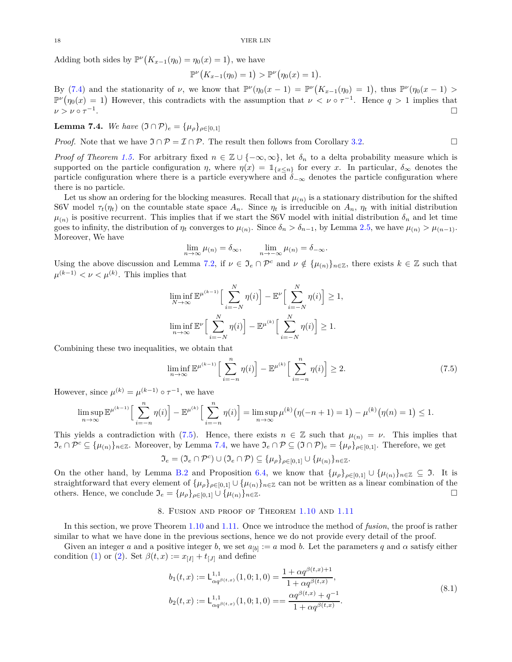Adding both sides by  $\mathbb{P}^{\nu}\left(K_{x-1}(\eta_0) = \eta_0(x) = 1\right)$ , we have

$$
\mathbb{P}^{\nu}\big(K_{x-1}(\eta_0) = 1\big) > \mathbb{P}^{\nu}\big(\eta_0(x) = 1\big).
$$

By [\(7.4\)](#page-16-3) and the stationarity of *ν*, we know that  $\mathbb{P}^{\nu}(\eta_0(x-1) = \mathbb{P}^{\nu}(K_{x-1}(\eta_0) = 1)$ , thus  $\mathbb{P}^{\nu}(\eta_0(x-1) >$  $\mathbb{P}^{\nu}(\eta_0(x) = 1)$  However, this contradicts with the assumption that  $\nu < \nu \circ \tau^{-1}$ . Hence  $q > 1$  implies that  $\nu > \nu \circ \tau^{-1}$ . The contract of the contract of the contract of the contract of the contract of  $\Box$ 

<span id="page-17-2"></span>**Lemma 7.4.** *We have*  $(\Im \cap \mathcal{P})_e = {\mu_e}_{e=0,1}^e$ 

*Proof.* Note that we have  $\Im \cap \mathcal{P} = \mathcal{I} \cap \mathcal{P}$ . The result then follows from Corollary [3.2.](#page-10-6)

*Proof of Theorem [1.5.](#page-2-2)* For arbitrary fixed  $n \in \mathbb{Z} \cup \{-\infty, \infty\}$ , let  $\delta_n$  to a delta probability measure which is supported on the particle configuration *η*, where  $\eta(x) = 1_{\{x \leq n\}}$  for every *x*. In particular,  $\delta_{\infty}$  denotes the particle configuration where there is a particle everywhere and  $\delta$ <sub>−∞</sub> denotes the particle configuration where there is no particle.

Let us show an ordering for the blocking measures. Recall that  $\mu_{(n)}$  is a stationary distribution for the shifted S6V model  $\tau_t(\eta_t)$  on the countable state space  $A_n$ . Since  $\eta_t$  is irreducible on  $A_n$ ,  $\eta_t$  with initial distribution  $\mu_{(n)}$  is positive recurrent. This implies that if we start the S6V model with initial distribution  $\delta_n$  and let time goes to infinity, the distribution of  $\eta_t$  converges to  $\mu_{(n)}$ . Since  $\delta_n > \delta_{n-1}$ , by Lemma [2.5,](#page-8-3) we have  $\mu_{(n)} > \mu_{(n-1)}$ . Moreover, We have

$$
\lim_{n \to \infty} \mu_{(n)} = \delta_{\infty}, \qquad \lim_{n \to -\infty} \mu_{(n)} = \delta_{-\infty}.
$$

Using the above discussion and Lemma [7.2,](#page-16-0) if  $\nu \in \mathfrak{I}_e \cap \mathcal{P}^c$  and  $\nu \notin {\mu_{(n)}}_{n \in \mathbb{Z}}$ , there exists  $k \in \mathbb{Z}$  such that  $\mu^{(k-1)} < \nu < \mu^{(k)}$ . This implies that

$$
\liminf_{N \to \infty} \mathbb{E}^{\mu^{(k-1)}} \Big[ \sum_{i=-N}^{N} \eta(i) \Big] - \mathbb{E}^{\nu} \Big[ \sum_{i=-N}^{N} \eta(i) \Big] \ge 1,
$$
  

$$
\liminf_{n \to \infty} \mathbb{E}^{\nu} \Big[ \sum_{i=-N}^{N} \eta(i) \Big] - \mathbb{E}^{\mu^{(k)}} \Big[ \sum_{i=-N}^{N} \eta(i) \Big] \ge 1.
$$

Combining these two inequalities, we obtain that

<span id="page-17-1"></span>
$$
\liminf_{n \to \infty} \mathbb{E}^{\mu^{(k-1)}} \Big[ \sum_{i=-n}^{n} \eta(i) \Big] - \mathbb{E}^{\mu^{(k)}} \Big[ \sum_{i=-n}^{n} \eta(i) \Big] \ge 2. \tag{7.5}
$$

However, since  $\mu^{(k)} = \mu^{(k-1)} \circ \tau^{-1}$ , we have

$$
\limsup_{n \to \infty} \mathbb{E}^{\mu^{(k-1)}} \Big[ \sum_{i=-n}^{n} \eta(i) \Big] - \mathbb{E}^{\mu^{(k)}} \Big[ \sum_{i=-n}^{n} \eta(i) \Big] = \limsup_{n \to \infty} \mu^{(k)} \big( \eta(-n+1) = 1 \big) - \mu^{(k)} \big( \eta(n) = 1 \big) \le 1.
$$

This yields a contradiction with [\(7.5\)](#page-17-1). Hence, there exists  $n \in \mathbb{Z}$  such that  $\mu_{(n)} = \nu$ . This implies that  $\mathfrak{I}_e \cap \mathcal{P}^c \subseteq {\{\mu_{(n)}\}}_{n \in \mathbb{Z}}$ . Moreover, by Lemma [7.4,](#page-17-2) we have  $\mathfrak{I}_e \cap \mathcal{P} \subseteq (\mathfrak{I} \cap \mathcal{P})_e = {\{\mu_{\rho}\}}_{\rho \in [0,1]}$ . Therefore, we get

$$
\mathfrak{I}_e = (\mathfrak{I}_e \cap \mathcal{P}^c) \cup (\mathfrak{I}_e \cap \mathcal{P}) \subseteq {\{\mu_\rho\}}_{\rho \in [0,1]} \cup {\{\mu_{(n)}\}}_{n \in \mathbb{Z}}.
$$

On the other hand, by Lemma [B.2](#page-21-2) and Proposition [6.4,](#page-15-5) we know that  $\{\mu_{\rho}\}_{\rho\in[0,1]} \cup \{\mu_{(n)}\}_{n\in\mathbb{Z}} \subseteq \mathfrak{I}$ . It is straightforward that every element of  $\{\mu_{\rho}\}_{\rho \in [0,1]} \cup \{\mu_{(n)}\}_{n \in \mathbb{Z}}$  can not be written as a linear combination of the others. Hence, we conclude  $\mathfrak{I}_{e} = \{\mu_{\rho}\}_{\rho \in [0,1]} \cup \{\mu_{(n)}\}_{n \in \mathbb{Z}}$ . others. Hence, we conclude  $\mathfrak{I}_e = {\mu_\rho}_{\rho \in [0,1]} \cup {\mu_{(n)}}_{n \in \mathbb{Z}}$ .

# 8. Fusion and proof of Theorem [1.10](#page-3-3) and [1.11](#page-4-1)

<span id="page-17-0"></span>In this section, we prove Theorem [1.10](#page-3-3) and [1.11.](#page-4-1) Once we introduce the method of *fusion*, the proof is rather similar to what we have done in the previous sections, hence we do not provide every detail of the proof.

<span id="page-17-3"></span>Given an integer *a* and a positive integer *b*, we set  $a_{[b]} := a \mod b$ . Let the parameters *q* and  $\alpha$  satisfy either condition [\(1\)](#page-3-0) or [\(2\)](#page-3-1). Set  $\beta(t, x) := x_{[I]} + t_{[J]}$  and define

$$
b_1(t,x) := \mathsf{L}_{\alpha q^{\beta(t,x)}}^{1,1}(1,0;1,0) = \frac{1 + \alpha q^{\beta(t,x)+1}}{1 + \alpha q^{\beta(t,x)}},
$$
  
\n
$$
b_2(t,x) := \mathsf{L}_{\alpha q^{\beta(t,x)}}^{1,1}(1,0;1,0) = = \frac{\alpha q^{\beta(t,x)} + q^{-1}}{1 + \alpha q^{\beta(t,x)}}.
$$
\n
$$
(8.1)
$$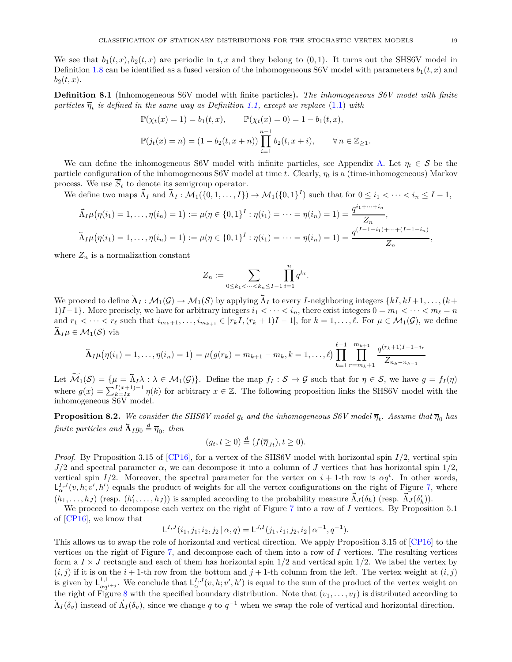We see that  $b_1(t, x), b_2(t, x)$  are periodic in  $t, x$  and they belong to  $(0, 1)$ . It turns out the SHS6V model in Definition [1.8](#page-3-2) can be identified as a fused version of the inhomogeneous S6V model with parameters  $b_1(t, x)$  and  $b_2(t, x)$ .

<span id="page-18-0"></span>**Definition 8.1** (Inhomogeneous S6V model with finite particles)**.** *The inhomogeneous S6V model with finite particles*  $\overline{\eta}_t$  *is defined in the same way as Definition* [1.1,](#page-1-2) *except we replace* [\(1.1\)](#page-1-3) *with* 

$$
\mathbb{P}(\chi_t(x) = 1) = b_1(t, x), \qquad \mathbb{P}(\chi_t(x) = 0) = 1 - b_1(t, x),
$$
  

$$
\mathbb{P}(j_t(x) = n) = (1 - b_2(t, x + n)) \prod_{i=1}^{n-1} b_2(t, x + i), \qquad \forall n \in \mathbb{Z}_{\geq 1}.
$$

We can define the inhomogeneous S6V model with infinite particles, see Appendix [A.](#page-21-0) Let  $\eta_t \in \mathcal{S}$  be the particle configuration of the inhomogeneous S6V model at time *t*. Clearly, *η<sup>t</sup>* is a (time-inhomogeneous) Markov process. We use  $\overline{S}_t$  to denote its semigroup operator.

We define two maps  $\vec{\Lambda}_I$  and  $\vec{\Lambda}_I : \mathcal{M}_1(\{0,1,\ldots,I\}) \to \mathcal{M}_1(\{0,1\}^I)$  such that for  $0 \leq i_1 < \cdots < i_n \leq I-1$ ,

$$
\vec{\Lambda}_I \mu(\eta(i_1) = 1, \dots, \eta(i_n) = 1) := \mu(\eta \in \{0, 1\}^I : \eta(i_1) = \dots = \eta(i_n) = 1) = \frac{q^{i_1 + \dots + i_n}}{Z_n},
$$
  

$$
\vec{\Lambda}_I \mu(\eta(i_1) = 1, \dots, \eta(i_n) = 1) := \mu(\eta \in \{0, 1\}^I : \eta(i_1) = \dots = \eta(i_n) = 1) = \frac{q^{(I-1-i_1) + \dots + (I-1-i_n)}}{Z_n},
$$

where  $Z_n$  is a normalization constant

$$
Z_n := \sum_{0 \leq k_1 < \dots < k_n \leq I-1} \prod_{i=1}^n q^{k_i}.
$$

We proceed to define  $\overline{\Lambda}_I : \mathcal{M}_1(\mathcal{G}) \to \mathcal{M}_1(\mathcal{S})$  by applying  $\overline{\Lambda}_I$  to every *I*-neighboring integers  $\{kI, kI + 1, \ldots, (k+1, k) \}$ 1)*I* −1}. More precisely, we have for arbitrary integers  $i_1 < \cdots < i_n$ , there exist integers  $0 = m_1 < \cdots < m_\ell = n$ and  $r_1 < \cdots < r_\ell$  such that  $i_{m_k+1}, \ldots, i_{m_{k+1}} \in [r_k I, (r_k+1)I-1]$ , for  $k = 1, \ldots, \ell$ . For  $\mu \in \mathcal{M}_1(\mathcal{G})$ , we define  $\mathbf{\bar{\Lambda}}_{I} \mu \in \mathcal{M}_1(\mathcal{S})$  via

$$
\overline{\Lambda}_I \mu(\eta(i_1) = 1, \dots, \eta(i_n) = 1) = \mu(g(r_k) = m_{k+1} - m_k, k = 1, \dots, \ell) \prod_{k=1}^{\ell-1} \prod_{r=m_k+1}^{m_{k+1}} \frac{q^{(r_k+1)I-1-i_r}}{Z_{n_k-n_{k-1}}}
$$

Let  $\widetilde{\mathcal{M}}_1(\mathcal{S}) = \{ \mu = \overline{\Lambda}_I \lambda : \lambda \in \mathcal{M}_1(\mathcal{G}) \}.$  Define the map  $f_I : \mathcal{S} \to \mathcal{G}$  such that for  $\eta \in \mathcal{S}$ , we have  $g = f_I(\eta)$ where  $g(x) = \sum_{k=I}^{I(x+1)-1} \eta(k)$  for arbitrary  $x \in \mathbb{Z}$ . The following proposition links the SHS6V model with the inhomogeneous S6V model.

<span id="page-18-1"></span>**Proposition 8.2.** We consider the SHS6V model  $g_t$  and the inhomogeneous S6V model  $\overline{\eta}_t$ . Assume that  $\overline{\eta}_0$  has *finite particles and*  $\overline{\Lambda}_{I}g_{0} \stackrel{d}{=} \overline{\eta}_{0}$ *, then* 

$$
(g_t, t \ge 0) \stackrel{d}{=} (f(\overline{\eta}_{Jt}), t \ge 0).
$$

*Proof.* By Proposition 3.15 of [\[CP16\]](#page-22-11), for a vertex of the SHS6V model with horizontal spin *I/*2, vertical spin  $J/2$  and spectral parameter  $\alpha$ , we can decompose it into a column of *J* vertices that has horizontal spin  $1/2$ , vertical spin  $I/2$ . Moreover, the spectral parameter for the vertex on  $i + 1$ -th row is  $\alpha q^i$ . In other words,  $L^{I,J}_{\alpha}(v, h; v', h')$  equals the product of weights for all the vertex configurations on the right of Figure [7,](#page-19-1) where  $(h_1,\ldots,h_J)$  (resp.  $(h'_1,\ldots,h_J)$ ) is sampled according to the probability measure  $\vec{\Lambda}_J(\delta_h)$  (resp.  $\vec{\Lambda}_J(\delta'_h)$ ).

We proceed to decompose each vertex on the right of Figure [7](#page-19-1) into a row of *I* vertices. By Proposition 5.1 of [\[CP16\]](#page-22-11), we know that

$$
L^{I,J}(i_1,j_1;i_2,j_2 \mid \alpha,q) = L^{J,I}(j_1,i_1;j_2,i_2 \mid \alpha^{-1},q^{-1}).
$$

This allows us to swap the role of horizontal and vertical direction. We apply Proposition 3.15 of [\[CP16\]](#page-22-11) to the vertices on the right of Figure [7,](#page-19-1) and decompose each of them into a row of *I* vertices. The resulting vertices form a  $I \times J$  rectangle and each of them has horizontal spin  $1/2$  and vertical spin  $1/2$ . We label the vertex by  $(i, j)$  if it is on the  $i + 1$ -th row from the bottom and  $j + 1$ -th column from the left. The vertex weight at  $(i, j)$ is given by  $L^{1,1}_{\alpha q^{i+j}}$ . We conclude that  $L^{I,J}_{\alpha}(v,h;v',h')$  is equal to the sum of the product of the vertex weight on the right of Figure [8](#page-19-2) with the specified boundary distribution. Note that  $(v_1, \ldots, v_I)$  is distributed according to  $\overline{\Lambda}_I(\delta_v)$  instead of  $\overline{\Lambda}_I(\delta_v)$ , since we change *q* to  $q^{-1}$  when we swap the role of vertical and horizontal direction.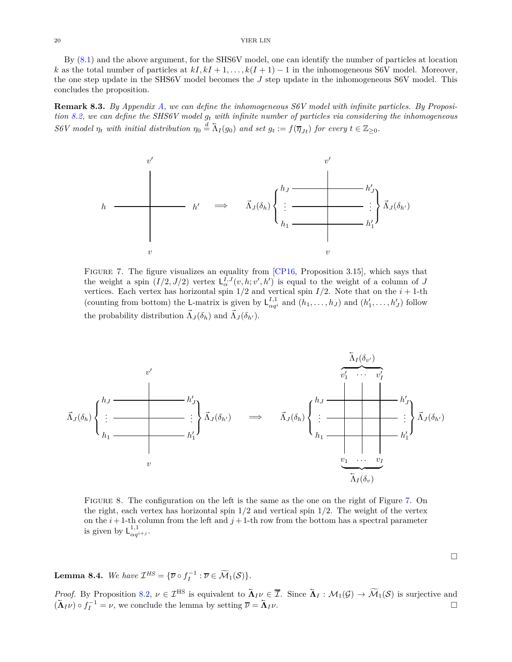By [\(8.1\)](#page-17-3) and the above argument, for the SHS6V model, one can identify the number of particles at location *k* as the total number of particles at  $kI, kI + 1, \ldots, k(I + 1) - 1$  in the inhomogeneous S6V model. Moreover, the one step update in the SHS6V model becomes the *J* step update in the inhomogeneous S6V model. This concludes the proposition.

<span id="page-19-0"></span>**Remark 8.3.** *By Appendix [A,](#page-21-0) we can define the inhomogeneous S6V model with infinite particles. By Proposition [8.2,](#page-18-1) we can define the SHS6V model g<sup>t</sup> with infinite number of particles via considering the inhomogeneous S6V* model  $\eta_t$  with initial distribution  $\eta_0 \stackrel{d}{=} \overline{\Lambda}_I(g_0)$  and set  $g_t := f(\overline{\eta}_{Jt})$  for every  $t \in \mathbb{Z}_{\geq 0}$ .

<span id="page-19-1"></span>

Figure 7. The figure visualizes an equality from [\[CP16,](#page-22-11) Proposition 3.15], which says that the weight a spin  $(I/2, J/2)$  vertex  $L^{I, J}_{\alpha}(v, h; v', h')$  is equal to the weight of a column of *J* vertices. Each vertex has horizontal spin  $1/2$  and vertical spin  $I/2$ . Note that on the  $i + 1$ -th (counting from bottom) the L-matrix is given by  $L_{\alpha q^i}^{I,1}$  and  $(h_1, \ldots, h_J)$  and  $(h'_1, \ldots, h'_J)$  follow the probability distribution  $\vec{\Lambda}_J(\delta_h)$  and  $\vec{\Lambda}_J(\delta_{h'})$ .

<span id="page-19-2"></span>

Figure 8. The configuration on the left is the same as the one on the right of Figure [7.](#page-19-1) On the right, each vertex has horizontal spin 1*/*2 and vertical spin 1*/*2. The weight of the vertex on the  $i+1$ -th column from the left and  $j+1$ -th row from the bottom has a spectral parameter is given by  $L_{\alpha q^{i+j}}^{1,1}$ .

<span id="page-19-3"></span>**Lemma 8.4.** *We have*  $\mathcal{I}^{HS} = {\overline{\nu} \circ f_I^{-1} : \overline{\nu} \in \widetilde{\mathcal{M}}_1(\mathcal{S})}.$ 

*Proof.* By Proposition [8.2,](#page-18-1)  $\nu \in \mathcal{I}^{\text{HS}}$  is equivalent to  $\overline{\Lambda}_I \nu \in \overline{\mathcal{I}}$ . Since  $\overline{\Lambda}_I : \mathcal{M}_1(\mathcal{G}) \to \widetilde{\mathcal{M}}_1(\mathcal{S})$  is surjective and  $(\bar{\mathbf{\Lambda}}_I \nu) \circ f_I^{-1} = \nu$ , we conclude the lemma by setting  $\bar{\nu} = \bar{\mathbf{\Lambda}}_I$  $I^{\nu}$ .

 $\Box$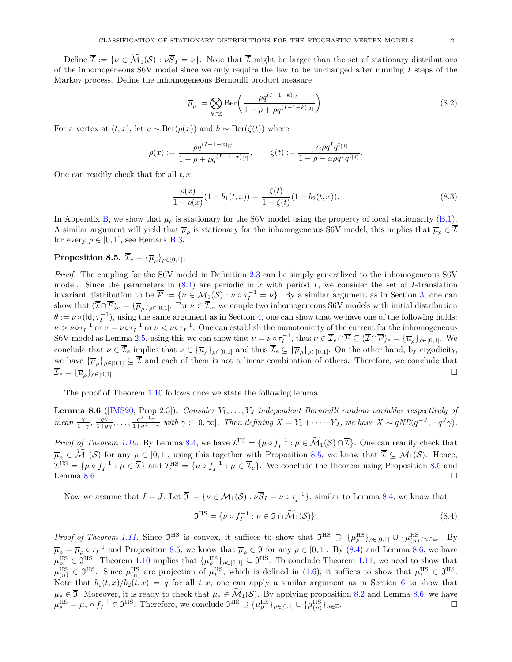Define  $\overline{\mathcal{I}} := \{ \nu \in \widetilde{\mathcal{M}}_1(\mathcal{S}) : \nu \overline{\mathcal{S}}_I = \nu \}$ . Note that  $\overline{\mathcal{I}}$  might be larger than the set of stationary distributions of the inhomogeneous S6V model since we only require the law to be unchanged after running *I* steps of the Markov process. Define the inhomogeneous Bernoulli product measure

<span id="page-20-4"></span>
$$
\overline{\mu}_{\rho} := \bigotimes_{k \in \mathbb{Z}} \text{Ber}\left(\frac{\rho q^{(I-1-k)_{[I]}}}{1 - \rho + \rho q^{(I-1-k)_{[I]}}}\right).
$$
\n(8.2)

For a vertex at  $(t, x)$ , let  $v \sim \text{Ber}(\rho(x))$  and  $h \sim \text{Ber}(\zeta(t))$  where

$$
\rho(x) := \frac{\rho q^{(I-1-x)_{[I]}}}{1-\rho+\rho q^{(I-1-x)_{[I]}}}, \qquad \zeta(t) := \frac{-\alpha \rho q^I q^{t_{[J]}}}{1-\rho-\alpha \rho q^I q^{t_{[J]}}}.
$$

One can readily check that for all *t, x*,

<span id="page-20-3"></span>
$$
\frac{\rho(x)}{1 - \rho(x)}(1 - b_1(t, x)) = \frac{\zeta(t)}{1 - \zeta(t)}(1 - b_2(t, x)).
$$
\n(8.3)

In Appendix [B,](#page-21-1) we show that  $\mu_{\rho}$  is stationary for the S6V model using the property of local stationarity [\(B.1\)](#page-21-4). A similar argument will yield that  $\overline{\mu}_{\rho}$  is stationary for the inhomogeneous S6V model, this implies that  $\overline{\mu}_{\rho} \in \mathcal{I}$ for every  $\rho \in [0, 1]$ , see Remark [B.3.](#page-21-5)

# <span id="page-20-0"></span> ${\bf Proposition 8.5.}$   $\mathcal{I}_e = {\{\overline{\mu}_\rho\}}_{\rho \in [0,1]}.$

*Proof.* The coupling for the S6V model in Definition [2.3](#page-7-2) can be simply generalized to the inhomogeneous S6V model. Since the parameters in [\(8.1\)](#page-17-3) are periodic in *x* with period *I*, we consider the set of *I*-translation invariant distribution to be  $\overline{P} := \{ \nu \in M_1(\mathcal{S}) : \nu \circ \tau_I^{-1} = \nu \}$ . By a similar argument as in Section [3,](#page-8-1) one can show that  $(\overline{I} \cap \overline{P})_e = {\overline{\mu}}_p\}_{p \in [0,1]}$ . For  $\nu \in \overline{I}_e$ , we couple two inhomogeneous S6V models with initial distribution  $\theta := \nu \circ (\mathsf{Id}, \tau_I^{-1})$ , using the same argument as in Section [4,](#page-10-0) one can show that we have one of the following holds:  $\nu > \nu \circ \tau_I^{-1}$  or  $\nu = \nu \circ \tau_I^{-1}$  or  $\nu < \nu \circ \tau_I^{-1}$ . One can establish the monotonicity of the current for the inhomogeneous S6V model as Lemma [2.5,](#page-8-3) using this we can show that  $\nu = \nu \circ \tau_I^{-1}$ , thus  $\nu \in \overline{\mathcal{I}}_e \cap \overline{\mathcal{P}} \subseteq (\overline{\mathcal{I}} \cap \overline{\mathcal{P}})_e = {\overline{\mu}}_p\}_{p \in [0,1]}$ . We conclude that  $\nu \in \overline{\mathcal{I}}_e$  implies that  $\nu \in {\overline{\mathcal{I}}}_\rho\}_{\rho \in [0,1]}$  and thus  $\overline{\mathcal{I}}_e \subseteq {\overline{\mathcal{I}}}_\rho\}_{\rho \in [0,1]}$ . On the other hand, by ergodicity, we have  ${\{\overline{\mu}_\rho\}}_{\rho \in [0,1]} \subseteq \overline{\mathcal{I}}$  and each of them is not a linear combination of others. Therefore, we conclude that  $\overline{\mathcal{I}}_e = {\overline{\{\mu}}_o\}_{o \in [0,1]}$  $\}$ <sub>*ρ*∈[0,1]</sub> □

The proof of Theorem [1.10](#page-3-3) follows once we state the following lemma.

<span id="page-20-1"></span>**Lemma 8.6** ([\[IMS20,](#page-23-11) Prop 2.3])**.** *Consider Y*1*, . . . , Y<sup>J</sup> independent Bernoulli random variables respectively of mean*  $\frac{\gamma}{1+\gamma}$ ,  $\frac{q\gamma}{1+q\gamma}$ , ...,  $\frac{q^{J-1}\gamma}{1+q^{J-1}}$  $\frac{q^{J-1}\gamma}{1+q^{J-1}\gamma}$  with  $\gamma \in [0,\infty]$ . Then defining  $X = Y_1 + \cdots + Y_J$ , we have  $X \sim qNB(q^{-J}, -q^{J}\gamma)$ .

*Proof of Theorem [1.10.](#page-3-3)* By Lemma [8.4,](#page-19-3) we have  $\mathcal{I}^{\text{HS}} = {\mu \circ f_I^{-1} : \mu \in \widetilde{\mathcal{M}}_1(\mathcal{S}) \cap \overline{\mathcal{I}}}$ . One can readily check that  $\overline{\mu}_{\rho} \in \widetilde{\mathcal{M}}_1(\mathcal{S})$  for any  $\rho \in [0,1]$ , using this together with Proposition [8.5,](#page-20-0) we know that  $\overline{\mathcal{I}} \subseteq \mathcal{M}_1(\mathcal{S})$ . Hence,  $\mathcal{I}^{\text{HS}} = {\mu \circ f_I^{-1} : \mu \in \overline{\mathcal{I}}} \text{ and } \mathcal{I}^{\text{HS}}_e = {\mu \circ f_I^{-1} : \mu \in \overline{\mathcal{I}}_e}.$  We conclude the theorem using Proposition [8.5](#page-20-0) and Lemma [8.6.](#page-20-1)

Now we assume that  $I = J$ . Let  $\overline{J} := \{ \nu \in M_1(\mathcal{S}) : \nu \overline{S}_I = \nu \circ \tau_I^{-1} \}$ . similar to Lemma [8.4,](#page-19-3) we know that

<span id="page-20-2"></span>
$$
\mathfrak{I}^{\mathrm{HS}} = \{ \nu \circ f_I^{-1} : \nu \in \overline{\mathfrak{I}} \cap \widetilde{\mathcal{M}}_1(\mathcal{S}) \}. \tag{8.4}
$$

*Proof of Theorem [1.11.](#page-4-1)* Since  $\mathfrak{I}^{\text{HS}}$  is convex, it suffices to show that  $\mathfrak{I}^{\text{HS}} \supseteq {\{\mu_p^{\text{HS}}\}_{\rho \in [0,1]}} \cup {\{\mu_{(n)}^{\text{HS}}\}_{n \in \mathbb{Z}}}.$  By  $\overline{\mu}_{\rho} = \overline{\mu}_{\rho} \circ \tau_I^{-1}$  and Proposition [8.5,](#page-20-0) we know that  $\overline{\mu}_{\rho} \in \overline{\mathfrak{I}}$  for any  $\rho \in [0,1]$ . By [\(8.4\)](#page-20-2) and Lemma [8.6,](#page-20-1) we have  $\mu_{\rho}^{\text{HS}} \in \mathfrak{I}^{\text{HS}}$ . Theorem [1.10](#page-3-3) implies that  $\{\mu_{\rho}^{\text{HS}}\}_{\rho \in [0,1]} \subseteq \mathfrak{I}^{\text{HS}}$ . To conclude Theorem [1.11,](#page-4-1) we need to show that  $\mu_{(n)}^{\text{HS}} \in \mathfrak{I}^{\text{HS}}$ . Since  $\mu_{(n)}^{\text{HS}}$  are projection of  $\mu_*^{\text{HS}}$ <sup>HS</sup>, which is defined in [\(1.6\)](#page-4-2), it suffices to show that  $\mu_*^{\text{HS}} \in \mathfrak{I}^{\text{HS}}$ . Note that  $b_1(t,x)/b_2(t,x) = q$  for all  $t, x$ , one can apply a similar argument as in Section [6](#page-14-1) to show that  $\mu_* \in \overline{\mathcal{I}}$ . Moreover, it is ready to check that  $\mu_* \in \widetilde{\mathcal{M}}_1(\mathcal{S})$ . By applying proposition [8.2](#page-18-1) and Lemma [8.6,](#page-20-1) we have  $\mu_*^{\text{HS}} = \mu_* \circ f_I^{-1} \in \mathfrak{I}^{\text{HS}}$ . Therefore, we conclude  $\mathfrak{I}^{\text{HS}} \supseteq {\mu_{\rho}^{\text{HS}}}_{\rho \in [0,1]} \cup {\mu_{(n)}^{\text{HS}}}_{n \in \mathbb{Z}}$ .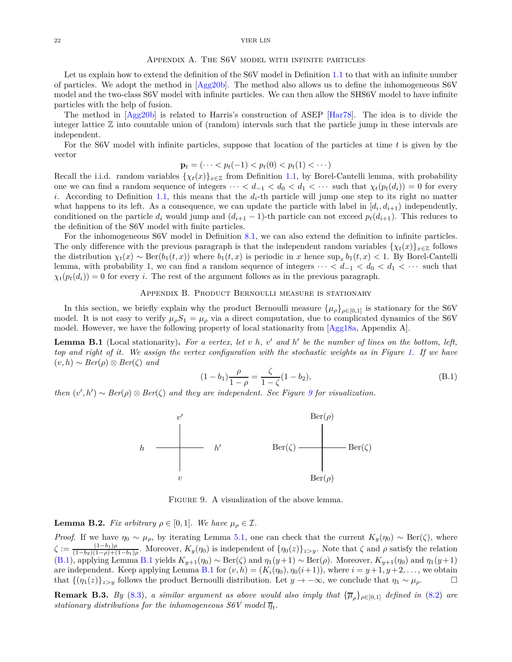#### Appendix A. The S6V model with infinite particles

<span id="page-21-0"></span>Let us explain how to extend the definition of the S6V model in Definition [1.1](#page-1-2) to that with an infinite number of particles. We adopt the method in [\[Agg20b\]](#page-22-0). The method also allows us to define the inhomogeneous S6V model and the two-class S6V model with infinite particles. We can then allow the SHS6V model to have infinite particles with the help of fusion.

The method in [\[Agg20b\]](#page-22-0) is related to Harris's construction of ASEP [\[Har78\]](#page-23-19). The idea is to divide the integer lattice Z into countable union of (random) intervals such that the particle jump in these intervals are independent.

For the S6V model with infinite particles, suppose that location of the particles at time *t* is given by the vector

$$
\mathbf{p}_t = (\dots < p_t(-1) < p_t(0) < p_t(1) < \dots)
$$

Recall the i.i.d. random variables  $\{\chi_t(x)\}_{x\in\mathbb{Z}}$  from Definition [1.1,](#page-1-2) by Borel-Cantelli lemma, with probability one we can find a random sequence of integers  $\cdots < d_{-1} < d_0 < d_1 < \cdots$  such that  $\chi_t(p_t(d_i)) = 0$  for every *i*. According to Definition [1.1,](#page-1-2) this means that the *di*-th particle will jump one step to its right no matter what happens to its left. As a consequence, we can update the particle with label in  $[d_i, d_{i+1})$  independently, conditioned on the particle  $d_i$  would jump and  $(d_{i+1}-1)$ -th particle can not exceed  $p_t(d_{i+1})$ . This reduces to the definition of the S6V model with finite particles.

For the inhomogeneous S6V model in Definition [8.1,](#page-18-0) we can also extend the definition to infinite particles. The only difference with the previous paragraph is that the independent random variables  $\{\chi_t(x)\}_{x\in\mathbb{Z}}$  follows the distribution  $\chi_t(x) \sim \text{Ber}(b_1(t, x))$  where  $b_1(t, x)$  is periodic in *x* hence  $\sup_x b_1(t, x) < 1$ . By Borel-Cantelli lemma, with probability 1, we can find a random sequence of integers  $\cdots < d_{-1} < d_0 < d_1 < \cdots$  such that  $\chi_t(p_t(d_i)) = 0$  for every *i*. The rest of the argument follows as in the previous paragraph.

# Appendix B. Product Bernoulli measure is stationary

<span id="page-21-1"></span>In this section, we briefly explain why the product Bernoulli measure  $\{\mu_{\rho}\}_{\rho\in[0,1]}$  is stationary for the S6V model. It is not easy to verify  $\mu_{\rho}S_1 = \mu_{\rho}$  via a direct computation, due to complicated dynamics of the S6V model. However, we have the following property of local stationarity from [\[Agg18a,](#page-22-7) Appendix A].

<span id="page-21-3"></span>**Lemma B.1** (Local stationarity)**.** *For a vertex, let v h, v* ′ *and h* ′ *be the number of lines on the bottom, left, top and right of it. We assign the vertex configuration with the stochastic weights as in Figure [1.](#page-0-0) If we have* (*v, h*) ∼ *Ber*(*ρ*) ⊗ *Ber*(*ζ*) *and*

<span id="page-21-4"></span>
$$
(1 - b_1)\frac{\rho}{1 - \rho} = \frac{\zeta}{1 - \zeta}(1 - b_2),\tag{B.1}
$$

<span id="page-21-6"></span>*then*  $(v', h') \sim Ber(\rho) \otimes Ber(\zeta)$  *and they are independent. See Figure [9](#page-21-6) for visualization.* 



FIGURE 9. A visualization of the above lemma.

<span id="page-21-2"></span>**Lemma B.2.** *Fix arbitrary*  $\rho \in [0,1]$ *. We have*  $\mu_{\rho} \in \mathcal{I}$ *.* 

*Proof.* If we have  $\eta_0 \sim \mu_\rho$ , by iterating Lemma [5.1,](#page-13-3) one can check that the current  $K_y(\eta_0) \sim \text{Ber}(\zeta)$ , where  $\zeta := \frac{(1-b_1)\rho}{(1-b_2)(1-\rho)+(1-\rho)}$  $\frac{(1-b_1)\rho}{(1-b_2)(1-\rho)+(1-b_1)\rho}$ . Moreover,  $K_y(\eta_0)$  is independent of  $\{\eta_0(z)\}_{z>y}$ . Note that  $\zeta$  and  $\rho$  satisfy the relation [\(B.1\)](#page-21-4), applying Lemma [B.1](#page-21-3) yields  $K_{y+1}(\eta_0) \sim \text{Ber}(\zeta)$  and  $\eta_1(y+1) \sim \text{Ber}(\rho)$ . Moreover,  $K_{y+1}(\eta_0)$  and  $\eta_1(y+1)$ are independent. Keep applying Lemma [B.1](#page-21-3) for  $(v, h) = (K_i(\eta_0), \eta_0(i+1))$ , where  $i = y+1, y+2, \ldots$ , we obtain that  $\{(\eta_1(z)\}_{z>y}$  follows the product Bernoulli distribution. Let  $y \to -\infty$ , we conclude that  $\eta_1 \sim \mu_\rho$ .

<span id="page-21-5"></span>**Remark B.3.** *By* [\(8.3\)](#page-20-3), a similar argument as above would also imply that  ${\{\overline{\mu}_{\rho}\}}_{\rho \in [0,1]}$  defined in [\(8.2\)](#page-20-4) are *stationary distributions for the inhomogeneous S6V model*  $\overline{\eta}_t$ .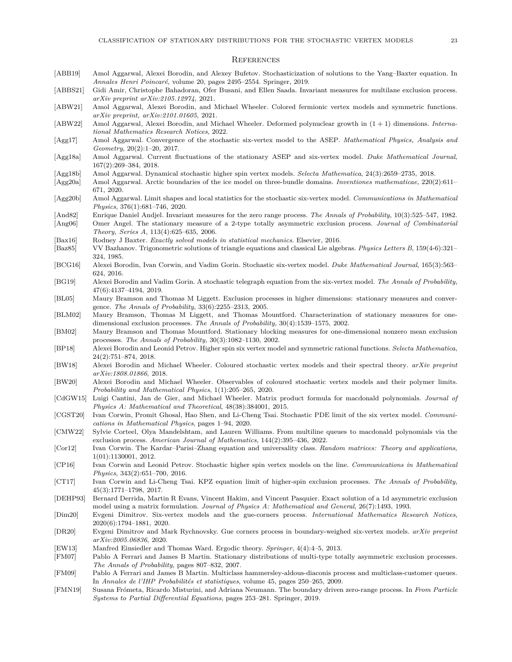### **REFERENCES**

- <span id="page-22-32"></span>[ABB19] Amol Aggarwal, Alexei Borodin, and Alexey Bufetov. Stochasticization of solutions to the Yang–Baxter equation. In *Annales Henri Poincar´e*, volume 20, pages 2495–2554. Springer, 2019.
- <span id="page-22-22"></span>[ABBS21] Gidi Amir, Christophe Bahadoran, Ofer Busani, and Ellen Saada. Invariant measures for multilane exclusion process. *arXiv preprint arXiv:2105.12974*, 2021.
- <span id="page-22-17"></span>[ABW21] Amol Aggarwal, Alexei Borodin, and Michael Wheeler. Colored fermionic vertex models and symmetric functions. *arXiv preprint, arXiv:2101.01605*, 2021.
- <span id="page-22-18"></span>[ABW22] Amol Aggarwal, Alexei Borodin, and Michael Wheeler. Deformed polynuclear growth in (1 + 1) dimensions. *International Mathematics Research Notices*, 2022.
- <span id="page-22-6"></span>[Agg17] Amol Aggarwal. Convergence of the stochastic six-vertex model to the ASEP. *Mathematical Physics, Analysis and Geometry*, 20(2):1–20, 2017.
- <span id="page-22-7"></span>[Agg18a] Amol Aggarwal. Current fluctuations of the stationary ASEP and six-vertex model. *Duke Mathematical Journal*, 167(2):269–384, 2018.
- <span id="page-22-14"></span>[Agg18b] Amol Aggarwal. Dynamical stochastic higher spin vertex models. *Selecta Mathematica*, 24(3):2659–2735, 2018.
- <span id="page-22-8"></span>[Agg20a] Amol Aggarwal. Arctic boundaries of the ice model on three-bundle domains. *Inventiones mathematicae*, 220(2):611– 671, 2020.
- <span id="page-22-0"></span>[Agg20b] Amol Aggarwal. Limit shapes and local statistics for the stochastic six-vertex model. *Communications in Mathematical Physics*, 376(1):681–746, 2020.
- <span id="page-22-28"></span><span id="page-22-23"></span>[And82] Enrique Daniel Andjel. Invariant measures for the zero range process. *The Annals of Probability*, 10(3):525–547, 1982. [Ang06] Omer Angel. The stationary measure of a 2-type totally asymmetric exclusion process. *Journal of Combinatorial*
- *Theory, Series A*, 113(4):625–635, 2006.
- <span id="page-22-1"></span>[Bax16] Rodney J Baxter. *Exactly solved models in statistical mechanics*. Elsevier, 2016.
- <span id="page-22-31"></span>[Baz85] VV Bazhanov. Trigonometric solutions of triangle equations and classical Lie algebras. *Physics Letters B*, 159(4-6):321– 324, 1985.
- <span id="page-22-2"></span>[BCG16] Alexei Borodin, Ivan Corwin, and Vadim Gorin. Stochastic six-vertex model. *Duke Mathematical Journal*, 165(3):563– 624, 2016.
- <span id="page-22-5"></span>[BG19] Alexei Borodin and Vadim Gorin. A stochastic telegraph equation from the six-vertex model. *The Annals of Probability*, 47(6):4137–4194, 2019.
- <span id="page-22-21"></span>[BL05] Maury Bramson and Thomas M Liggett. Exclusion processes in higher dimensions: stationary measures and convergence. *The Annals of Probability*, 33(6):2255–2313, 2005.
- <span id="page-22-19"></span>[BLM02] Maury Bramson, Thomas M Liggett, and Thomas Mountford. Characterization of stationary measures for onedimensional exclusion processes. *The Annals of Probability*, 30(4):1539–1575, 2002.
- <span id="page-22-20"></span>[BM02] Maury Bramson and Thomas Mountford. Stationary blocking measures for one-dimensional nonzero mean exclusion processes. *The Annals of Probability*, 30(3):1082–1130, 2002.
- <span id="page-22-12"></span>[BP18] Alexei Borodin and Leonid Petrov. Higher spin six vertex model and symmetric rational functions. *Selecta Mathematica*, 24(2):751–874, 2018.
- <span id="page-22-15"></span>[BW18] Alexei Borodin and Michael Wheeler. Coloured stochastic vertex models and their spectral theory. *arXiv preprint arXiv:1808.01866*, 2018.
- <span id="page-22-16"></span>[BW20] Alexei Borodin and Michael Wheeler. Observables of coloured stochastic vertex models and their polymer limits. *Probability and Mathematical Physics*, 1(1):205–265, 2020.
- <span id="page-22-26"></span>[CdGW15] Luigi Cantini, Jan de Gier, and Michael Wheeler. Matrix product formula for macdonald polynomials. *Journal of Physics A: Mathematical and Theoretical*, 48(38):384001, 2015.
- <span id="page-22-4"></span>[CGST20] Ivan Corwin, Promit Ghosal, Hao Shen, and Li-Cheng Tsai. Stochastic PDE limit of the six vertex model. *Communications in Mathematical Physics*, pages 1–94, 2020.
- <span id="page-22-27"></span>[CMW22] Sylvie Corteel, Olya Mandelshtam, and Lauren Williams. From multiline queues to macdonald polynomials via the exclusion process. *American Journal of Mathematics*, 144(2):395–436, 2022.
- <span id="page-22-3"></span>[Cor12] Ivan Corwin. The Kardar–Parisi–Zhang equation and universality class. *Random matrices: Theory and applications*, 1(01):1130001, 2012.
- <span id="page-22-11"></span>[CP16] Ivan Corwin and Leonid Petrov. Stochastic higher spin vertex models on the line. *Communications in Mathematical Physics*, 343(2):651–700, 2016.
- <span id="page-22-13"></span>[CT17] Ivan Corwin and Li-Cheng Tsai. KPZ equation limit of higher-spin exclusion processes. *The Annals of Probability*, 45(3):1771–1798, 2017.
- <span id="page-22-29"></span>[DEHP93] Bernard Derrida, Martin R Evans, Vincent Hakim, and Vincent Pasquier. Exact solution of a 1d asymmetric exclusion model using a matrix formulation. *Journal of Physics A: Mathematical and General*, 26(7):1493, 1993.
- <span id="page-22-9"></span>[Dim20] Evgeni Dimitrov. Six-vertex models and the gue-corners process. *International Mathematics Research Notices*, 2020(6):1794–1881, 2020.
- <span id="page-22-10"></span>[DR20] Evgeni Dimitrov and Mark Rychnovsky. Gue corners process in boundary-weighed six-vertex models. *arXiv preprint arXiv:2005.06836*, 2020.
- <span id="page-22-33"></span>[EW13] Manfred Einsiedler and Thomas Ward. Ergodic theory. *Springer*, 4(4):4–5, 2013.
- <span id="page-22-24"></span>[FM07] Pablo A Ferrari and James B Martin. Stationary distributions of multi-type totally asymmetric exclusion processes. *The Annals of Probability*, pages 807–832, 2007.
- <span id="page-22-25"></span>[FM09] Pablo A Ferrari and James B Martin. Multiclass hammersley-aldous-diaconis process and multiclass-customer queues. In *Annales de l'IHP Probabilités et statistiques*, volume 45, pages 250–265, 2009.
- <span id="page-22-30"></span>[FMN19] Susana Frómeta, Ricardo Misturini, and Adriana Neumann. The boundary driven zero-range process. In *From Particle Systems to Partial Differential Equations*, pages 253–281. Springer, 2019.